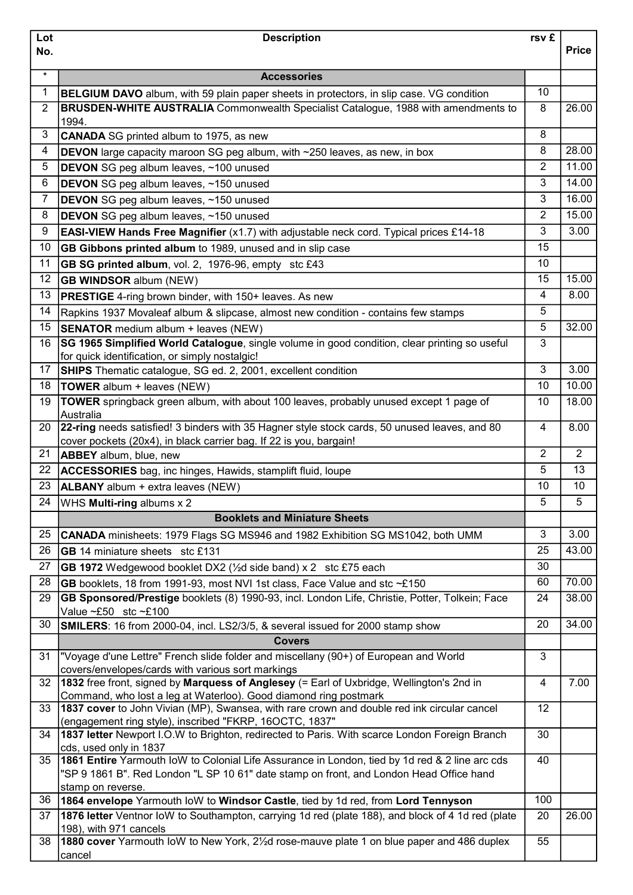| Lot            | <b>Description</b>                                                                                                                                                                           | rsv £          |                |
|----------------|----------------------------------------------------------------------------------------------------------------------------------------------------------------------------------------------|----------------|----------------|
| No.            |                                                                                                                                                                                              |                | <b>Price</b>   |
| $\star$        | <b>Accessories</b>                                                                                                                                                                           |                |                |
| 1              |                                                                                                                                                                                              | 10             |                |
| $\overline{2}$ | <b>BELGIUM DAVO</b> album, with 59 plain paper sheets in protectors, in slip case. VG condition<br><b>BRUSDEN-WHITE AUSTRALIA</b> Commonwealth Specialist Catalogue, 1988 with amendments to | 8              | 26.00          |
|                | 1994.                                                                                                                                                                                        |                |                |
| 3              | <b>CANADA</b> SG printed album to 1975, as new                                                                                                                                               | 8              |                |
| 4              | <b>DEVON</b> large capacity maroon SG peg album, with ~250 leaves, as new, in box                                                                                                            | 8              | 28.00          |
| 5              | DEVON SG peg album leaves, ~100 unused                                                                                                                                                       | $\overline{2}$ | 11.00          |
| 6              | DEVON SG peg album leaves, ~150 unused                                                                                                                                                       | 3              | 14.00          |
| 7              | DEVON SG peg album leaves, ~150 unused                                                                                                                                                       | 3              | 16.00          |
| 8              | DEVON SG peg album leaves, ~150 unused                                                                                                                                                       | 2              | 15.00          |
| 9              | <b>EASI-VIEW Hands Free Magnifier</b> (x1.7) with adjustable neck cord. Typical prices £14-18                                                                                                | 3              | 3.00           |
| 10             | GB Gibbons printed album to 1989, unused and in slip case                                                                                                                                    | 15             |                |
| 11             | GB SG printed album, vol. 2, 1976-96, empty stc £43                                                                                                                                          | 10             |                |
| 12             | <b>GB WINDSOR album (NEW)</b>                                                                                                                                                                | 15             | 15.00          |
| 13             | <b>PRESTIGE</b> 4-ring brown binder, with 150+ leaves. As new                                                                                                                                | 4              | 8.00           |
| 14             |                                                                                                                                                                                              | 5              |                |
| 15             | Rapkins 1937 Movaleaf album & slipcase, almost new condition - contains few stamps                                                                                                           | 5              | 32.00          |
|                | <b>SENATOR</b> medium album + leaves (NEW)                                                                                                                                                   | 3              |                |
| 16             | SG 1965 Simplified World Catalogue, single volume in good condition, clear printing so useful<br>for quick identification, or simply nostalgic!                                              |                |                |
| 17             | <b>SHIPS</b> Thematic catalogue, SG ed. 2, 2001, excellent condition                                                                                                                         | 3              | 3.00           |
| 18             | TOWER album + leaves (NEW)                                                                                                                                                                   | 10             | 10.00          |
| 19             | TOWER springback green album, with about 100 leaves, probably unused except 1 page of                                                                                                        | 10             | 18.00          |
|                | Australia                                                                                                                                                                                    |                |                |
| 20             | 22-ring needs satisfied! 3 binders with 35 Hagner style stock cards, 50 unused leaves, and 80                                                                                                | 4              | 8.00           |
|                | cover pockets (20x4), in black carrier bag. If 22 is you, bargain!                                                                                                                           |                |                |
| 21             | <b>ABBEY</b> album, blue, new                                                                                                                                                                | $\overline{2}$ | $\overline{2}$ |
| 22             | <b>ACCESSORIES</b> bag, inc hinges, Hawids, stamplift fluid, loupe                                                                                                                           | 5              | 13             |
| 23             | <b>ALBANY</b> album + extra leaves (NEW)                                                                                                                                                     | 10             | 10             |
| 24             | WHS Multi-ring albums x 2                                                                                                                                                                    | 5              | 5              |
|                | <b>Booklets and Miniature Sheets</b>                                                                                                                                                         |                |                |
| 25             | CANADA minisheets: 1979 Flags SG MS946 and 1982 Exhibition SG MS1042, both UMM                                                                                                               | 3              | 3.00           |
| 26             | GB 14 miniature sheets stc £131                                                                                                                                                              | 25             | 43.00          |
| 27             | GB 1972 Wedgewood booklet DX2 (1/2d side band) x 2 stc £75 each                                                                                                                              | 30             |                |
| 28             | GB booklets, 18 from 1991-93, most NVI 1st class, Face Value and stc ~£150                                                                                                                   | 60             | 70.00          |
| 29             | GB Sponsored/Prestige booklets (8) 1990-93, incl. London Life, Christie, Potter, Tolkein; Face<br>Value $\sim$ £50 stc $\sim$ £100                                                           | 24             | 38.00          |
| 30             | <b>SMILERS:</b> 16 from 2000-04, incl. LS2/3/5, & several issued for 2000 stamp show                                                                                                         | 20             | 34.00          |
|                | <b>Covers</b>                                                                                                                                                                                |                |                |
| 31             | "Voyage d'une Lettre" French slide folder and miscellany (90+) of European and World<br>covers/envelopes/cards with various sort markings                                                    | 3              |                |
| 32             | 1832 free front, signed by Marquess of Anglesey (= Earl of Uxbridge, Wellington's 2nd in                                                                                                     | $\overline{4}$ | 7.00           |
| 33             | Command, who lost a leg at Waterloo). Good diamond ring postmark<br>1837 cover to John Vivian (MP), Swansea, with rare crown and double red ink circular cancel                              | 12             |                |
|                | (engagement ring style), inscribed "FKRP, 16OCTC, 1837"                                                                                                                                      |                |                |
| 34             | 1837 letter Newport I.O.W to Brighton, redirected to Paris. With scarce London Foreign Branch<br>cds, used only in 1837                                                                      | 30             |                |
| 35             | 1861 Entire Yarmouth loW to Colonial Life Assurance in London, tied by 1d red & 2 line arc cds                                                                                               | 40             |                |
|                | "SP 9 1861 B". Red London "L SP 10 61" date stamp on front, and London Head Office hand                                                                                                      |                |                |
|                | stamp on reverse.                                                                                                                                                                            |                |                |
| 36             | 1864 envelope Yarmouth loW to Windsor Castle, tied by 1d red, from Lord Tennyson                                                                                                             | 100            |                |
| 37             | 1876 letter Ventnor loW to Southampton, carrying 1d red (plate 188), and block of 4 1d red (plate<br>198), with 971 cancels                                                                  | 20             | 26.00          |
| 38             | 1880 cover Yarmouth loW to New York, 21/2d rose-mauve plate 1 on blue paper and 486 duplex                                                                                                   | 55             |                |
|                | cancel                                                                                                                                                                                       |                |                |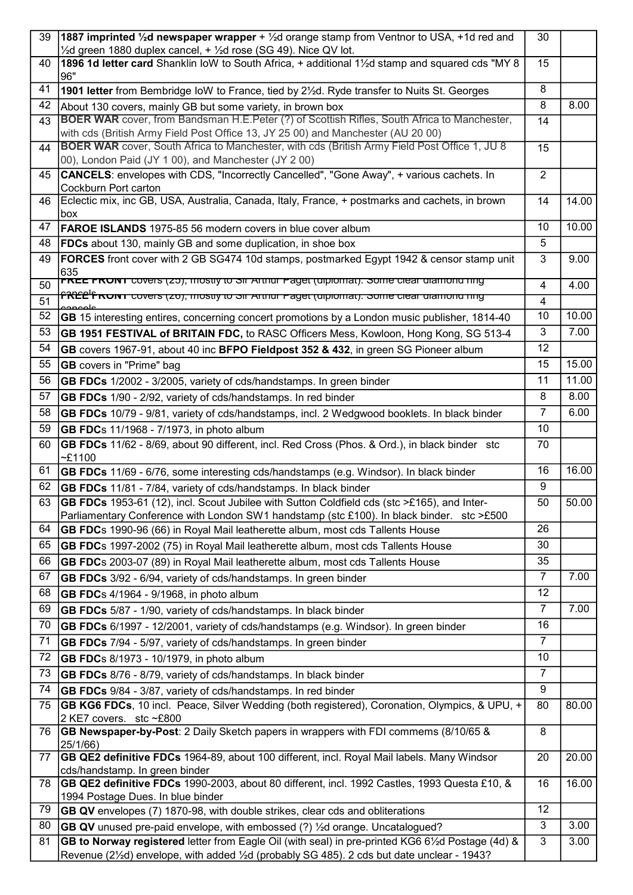| 39 | 1887 imprinted 1/2d newspaper wrapper + 1/2d orange stamp from Ventnor to USA, +1d red and                                                                                               | 30             |       |
|----|------------------------------------------------------------------------------------------------------------------------------------------------------------------------------------------|----------------|-------|
| 40 | $\frac{1}{2}$ d green 1880 duplex cancel, + $\frac{1}{2}$ d rose (SG 49). Nice QV lot.<br>1896 1d letter card Shanklin loW to South Africa, + additional 1½d stamp and squared cds "MY 8 | 15             |       |
|    | 96"                                                                                                                                                                                      |                |       |
| 41 | 1901 letter from Bembridge loW to France, tied by 2 <sup>1</sup> / <sub>2</sub> d. Ryde transfer to Nuits St. Georges                                                                    | 8              |       |
| 42 | About 130 covers, mainly GB but some variety, in brown box                                                                                                                               | 8              | 8.00  |
| 43 | <b>BOER WAR</b> cover, from Bandsman H.E.Peter (?) of Scottish Rifles, South Africa to Manchester,                                                                                       | 14             |       |
|    | with cds (British Army Field Post Office 13, JY 25 00) and Manchester (AU 20 00)                                                                                                         |                |       |
| 44 | BOER WAR cover, South Africa to Manchester, with cds (British Army Field Post Office 1, JU 8                                                                                             | 15             |       |
|    | 00), London Paid (JY 1 00), and Manchester (JY 2 00)                                                                                                                                     |                |       |
| 45 | CANCELS: envelopes with CDS, "Incorrectly Cancelled", "Gone Away", + various cachets. In                                                                                                 | $\overline{2}$ |       |
| 46 | Cockburn Port carton<br>Eclectic mix, inc GB, USA, Australia, Canada, Italy, France, + postmarks and cachets, in brown                                                                   | 14             | 14.00 |
|    | box                                                                                                                                                                                      |                |       |
| 47 | <b>FAROE ISLANDS</b> 1975-85 56 modern covers in blue cover album                                                                                                                        | 10             | 10.00 |
| 48 | <b>FDCs</b> about 130, mainly GB and some duplication, in shoe box                                                                                                                       | 5              |       |
| 49 | <b>FORCES</b> front cover with 2 GB SG474 10d stamps, postmarked Egypt 1942 & censor stamp unit                                                                                          | 3              | 9.00  |
|    | 635                                                                                                                                                                                      |                |       |
| 50 | <b>FREE FRONT</b> covers (25), mostly to Sir Arthur Paget (diplomat). Some clear diamond ring                                                                                            | 4              | 4.00  |
| 51 | <mark> 1382 - ראשא די סטיפול (בס), וווטלוואַ זי סור אנחומר ד</mark> אַפ <del>פו (פון הייטומטן). האט די סופאר מאמווטומן אי</del>                                                          | $\overline{4}$ |       |
| 52 | GB 15 interesting entires, concerning concert promotions by a London music publisher, 1814-40                                                                                            | 10             | 10.00 |
| 53 | GB 1951 FESTIVAL of BRITAIN FDC, to RASC Officers Mess, Kowloon, Hong Kong, SG 513-4                                                                                                     | 3              | 7.00  |
| 54 | GB covers 1967-91, about 40 inc BFPO Fieldpost 352 & 432, in green SG Pioneer album                                                                                                      | 12             |       |
| 55 | <b>GB</b> covers in "Prime" bag                                                                                                                                                          | 15             | 15.00 |
| 56 | GB FDCs 1/2002 - 3/2005, variety of cds/handstamps. In green binder                                                                                                                      | 11             | 11.00 |
| 57 | GB FDCs 1/90 - 2/92, variety of cds/handstamps. In red binder                                                                                                                            | 8              | 8.00  |
| 58 | GB FDCs 10/79 - 9/81, variety of cds/handstamps, incl. 2 Wedgwood booklets. In black binder                                                                                              | $\overline{7}$ | 6.00  |
| 59 | GB FDCs 11/1968 - 7/1973, in photo album                                                                                                                                                 | 10             |       |
| 60 | GB FDCs 11/62 - 8/69, about 90 different, incl. Red Cross (Phos. & Ord.), in black binder stc                                                                                            | 70             |       |
|    | $-£1100$                                                                                                                                                                                 |                |       |
| 61 | GB FDCs 11/69 - 6/76, some interesting cds/handstamps (e.g. Windsor). In black binder                                                                                                    | 16             | 16.00 |
| 62 | GB FDCs 11/81 - 7/84, variety of cds/handstamps. In black binder                                                                                                                         | 9              |       |
| 63 | GB FDCs 1953-61 (12), incl. Scout Jubilee with Sutton Coldfield cds (stc >£165), and Inter-                                                                                              | 50             | 50.00 |
|    | Parliamentary Conference with London SW1 handstamp (stc £100). In black binder. stc >£500                                                                                                |                |       |
| 64 | GB FDCs 1990-96 (66) in Royal Mail leatherette album, most cds Tallents House                                                                                                            | 26             |       |
| 65 | GB FDCs 1997-2002 (75) in Royal Mail leatherette album, most cds Tallents House                                                                                                          | 30             |       |
| 66 | GB FDCs 2003-07 (89) in Royal Mail leatherette album, most cds Tallents House                                                                                                            | 35             |       |
| 67 | GB FDCs 3/92 - 6/94, variety of cds/handstamps. In green binder                                                                                                                          | $\overline{7}$ | 7.00  |
| 68 | GB FDCs 4/1964 - 9/1968, in photo album                                                                                                                                                  | 12             |       |
| 69 | GB FDCs 5/87 - 1/90, variety of cds/handstamps. In black binder                                                                                                                          | $\overline{7}$ | 7.00  |
| 70 | GB FDCs 6/1997 - 12/2001, variety of cds/handstamps (e.g. Windsor). In green binder                                                                                                      | 16             |       |
| 71 | GB FDCs 7/94 - 5/97, variety of cds/handstamps. In green binder                                                                                                                          | $\overline{7}$ |       |
| 72 | GB FDCs 8/1973 - 10/1979, in photo album                                                                                                                                                 | 10             |       |
| 73 | GB FDCs 8/76 - 8/79, variety of cds/handstamps. In black binder                                                                                                                          | $\overline{7}$ |       |
| 74 | GB FDCs 9/84 - 3/87, variety of cds/handstamps. In red binder                                                                                                                            | 9              |       |
| 75 | GB KG6 FDCs, 10 incl. Peace, Silver Wedding (both registered), Coronation, Olympics, & UPU, +                                                                                            | 80             | 80.00 |
|    | 2 KE7 covers. stc~£800                                                                                                                                                                   |                |       |
| 76 | GB Newspaper-by-Post: 2 Daily Sketch papers in wrappers with FDI commems (8/10/65 &                                                                                                      | 8              |       |
|    | 25/1/66)                                                                                                                                                                                 |                |       |
| 77 | GB QE2 definitive FDCs 1964-89, about 100 different, incl. Royal Mail labels. Many Windsor<br>cds/handstamp. In green binder                                                             | 20             | 20.00 |
| 78 | GB QE2 definitive FDCs 1990-2003, about 80 different, incl. 1992 Castles, 1993 Questa £10, &                                                                                             | 16             | 16.00 |
|    | 1994 Postage Dues. In blue binder                                                                                                                                                        |                |       |
| 79 | <b>GB QV</b> envelopes (7) 1870-98, with double strikes, clear cds and obliterations                                                                                                     | 12             |       |
| 80 | <b>GB QV</b> unused pre-paid envelope, with embossed (?) 1/ <sub>2</sub> d orange. Uncatalogued?                                                                                         | 3              | 3.00  |
| 81 | GB to Norway registered letter from Eagle Oil (with seal) in pre-printed KG6 61/2d Postage (4d) &                                                                                        | 3              | 3.00  |
|    | Revenue (21/2d) envelope, with added 1/2d (probably SG 485). 2 cds but date unclear - 1943?                                                                                              |                |       |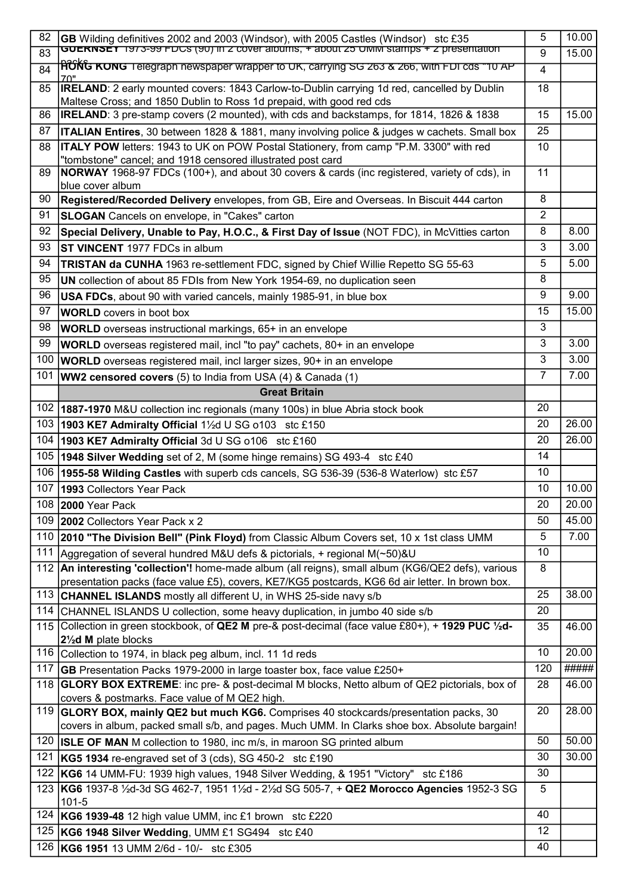| 82  | GB Wilding definitives 2002 and 2003 (Windsor), with 2005 Castles (Windsor) stc £35                                                                                        | 5              | 10.00 |
|-----|----------------------------------------------------------------------------------------------------------------------------------------------------------------------------|----------------|-------|
| 83  | <b>GUERNSEY</b> 1973-99 FDCS (90) In Z cover albums, + about 25 UMM stamps + Z presentation                                                                                | 9              | 15.00 |
| 84  | <b> H͡ʊ́Ń͡ʊ ĸonʊ</b> ⊺elegraph newspaper wrapper to UK, carrying SG 263 & 266, with FDI cds "10 AP                                                                         | $\overline{4}$ |       |
| 85  | <b>IRELAND:</b> 2 early mounted covers: 1843 Carlow-to-Dublin carrying 1d red, cancelled by Dublin<br>Maltese Cross; and 1850 Dublin to Ross 1d prepaid, with good red cds | 18             |       |
| 86  | IRELAND: 3 pre-stamp covers (2 mounted), with cds and backstamps, for 1814, 1826 & 1838                                                                                    | 15             | 15.00 |
| 87  | <b>ITALIAN Entires</b> , 30 between 1828 & 1881, many involving police & judges w cachets. Small box                                                                       | 25             |       |
| 88  | <b>ITALY POW</b> letters: 1943 to UK on POW Postal Stationery, from camp "P.M. 3300" with red                                                                              | 10             |       |
|     | "tombstone" cancel; and 1918 censored illustrated post card                                                                                                                |                |       |
| 89  | NORWAY 1968-97 FDCs (100+), and about 30 covers & cards (inc registered, variety of cds), in<br>blue cover album                                                           | 11             |       |
| 90  | Registered/Recorded Delivery envelopes, from GB, Eire and Overseas. In Biscuit 444 carton                                                                                  | 8              |       |
| 91  | <b>SLOGAN</b> Cancels on envelope, in "Cakes" carton                                                                                                                       | $\overline{2}$ |       |
| 92  | Special Delivery, Unable to Pay, H.O.C., & First Day of Issue (NOT FDC), in McVitties carton                                                                               | 8              | 8.00  |
| 93  | <b>ST VINCENT</b> 1977 FDCs in album                                                                                                                                       | $\mathbf{3}$   | 3.00  |
| 94  | <b>TRISTAN da CUNHA</b> 1963 re-settlement FDC, signed by Chief Willie Repetto SG 55-63                                                                                    | 5              | 5.00  |
| 95  | UN collection of about 85 FDIs from New York 1954-69, no duplication seen                                                                                                  | 8              |       |
| 96  | <b>USA FDCs</b> , about 90 with varied cancels, mainly 1985-91, in blue box                                                                                                | 9              | 9.00  |
| 97  | <b>WORLD</b> covers in boot box                                                                                                                                            | 15             | 15.00 |
| 98  | <b>WORLD</b> overseas instructional markings, 65+ in an envelope                                                                                                           | 3              |       |
| 99  |                                                                                                                                                                            | 3              | 3.00  |
|     | WORLD overseas registered mail, incl "to pay" cachets, 80+ in an envelope                                                                                                  |                |       |
| 100 | <b>WORLD</b> overseas registered mail, incl larger sizes, 90+ in an envelope                                                                                               | 3              | 3.00  |
| 101 | <b>WW2 censored covers</b> (5) to India from USA (4) & Canada (1)                                                                                                          | $\overline{7}$ | 7.00  |
|     | <b>Great Britain</b>                                                                                                                                                       |                |       |
| 102 | 1887-1970 M&U collection inc regionals (many 100s) in blue Abria stock book                                                                                                | 20             |       |
| 103 | 1903 KE7 Admiralty Official $1\frac{1}{2}$ d U SG o103 stc £150                                                                                                            | 20             | 26.00 |
| 104 | 1903 KE7 Admiralty Official 3d U SG o106 stc £160                                                                                                                          | 20             | 26.00 |
| 105 | <b>1948 Silver Wedding</b> set of 2, M (some hinge remains) SG 493-4 stc £40                                                                                               | 14             |       |
| 106 | 1955-58 Wilding Castles with superb cds cancels, SG 536-39 (536-8 Waterlow) stc £57                                                                                        | 10             |       |
| 107 | 1993 Collectors Year Pack                                                                                                                                                  | 10             | 10.00 |
|     | 108 2000 Year Pack                                                                                                                                                         | 20             | 20.00 |
| 109 | 2002 Collectors Year Pack x 2                                                                                                                                              | 50             | 45.00 |
| 110 | 2010 "The Division Bell" (Pink Floyd) from Classic Album Covers set, 10 x 1st class UMM                                                                                    | 5              | 7.00  |
| 111 | Aggregation of several hundred M&U defs & pictorials, + regional M(~50)&U                                                                                                  | 10             |       |
|     | 112 An interesting 'collection'! home-made album (all reigns), small album (KG6/QE2 defs), various                                                                         | 8              |       |
|     | presentation packs (face value £5), covers, KE7/KG5 postcards, KG6 6d air letter. In brown box.                                                                            |                |       |
| 113 | <b>CHANNEL ISLANDS</b> mostly all different U, in WHS 25-side navy s/b                                                                                                     | 25             | 38.00 |
| 114 | CHANNEL ISLANDS U collection, some heavy duplication, in jumbo 40 side s/b                                                                                                 | 20             |       |
|     | 115 Collection in green stockbook, of QE2 M pre-& post-decimal (face value £80+), + 1929 PUC 1/2d-<br>21/2d M plate blocks                                                 | 35             | 46.00 |
| 116 | Collection to 1974, in black peg album, incl. 11 1d reds                                                                                                                   | 10             | 20.00 |
| 117 | <b>GB</b> Presentation Packs 1979-2000 in large toaster box, face value £250+                                                                                              | 120            | ##### |
|     | 118 <b>GLORY BOX EXTREME</b> : inc pre- & post-decimal M blocks, Netto album of QE2 pictorials, box of<br>covers & postmarks. Face value of M QE2 high.                    | 28             | 46.00 |
| 119 | GLORY BOX, mainly QE2 but much KG6. Comprises 40 stockcards/presentation packs, 30                                                                                         | 20             | 28.00 |
|     | covers in album, packed small s/b, and pages. Much UMM. In Clarks shoe box. Absolute bargain!                                                                              |                |       |
| 120 | <b>ISLE OF MAN</b> M collection to 1980, inc m/s, in maroon SG printed album                                                                                               | 50             | 50.00 |
| 121 | <b>KG5 1934</b> re-engraved set of 3 (cds), SG 450-2 stc £190                                                                                                              | 30             | 30.00 |
| 122 | KG6 14 UMM-FU: 1939 high values, 1948 Silver Wedding, & 1951 "Victory"<br>stc £186                                                                                         | 30             |       |
| 123 | KG6 1937-8 1/2d-3d SG 462-7, 1951 11/2d - 21/2d SG 505-7, + QE2 Morocco Agencies 1952-3 SG<br>$101 - 5$                                                                    | 5              |       |
| 124 | KG6 1939-48 12 high value UMM, inc £1 brown stc £220                                                                                                                       | 40             |       |
| 125 | KG6 1948 Silver Wedding, UMM £1 SG494 stc £40                                                                                                                              | 12             |       |
| 126 | KG6 1951 13 UMM 2/6d - 10/- stc £305                                                                                                                                       | 40             |       |
|     |                                                                                                                                                                            |                |       |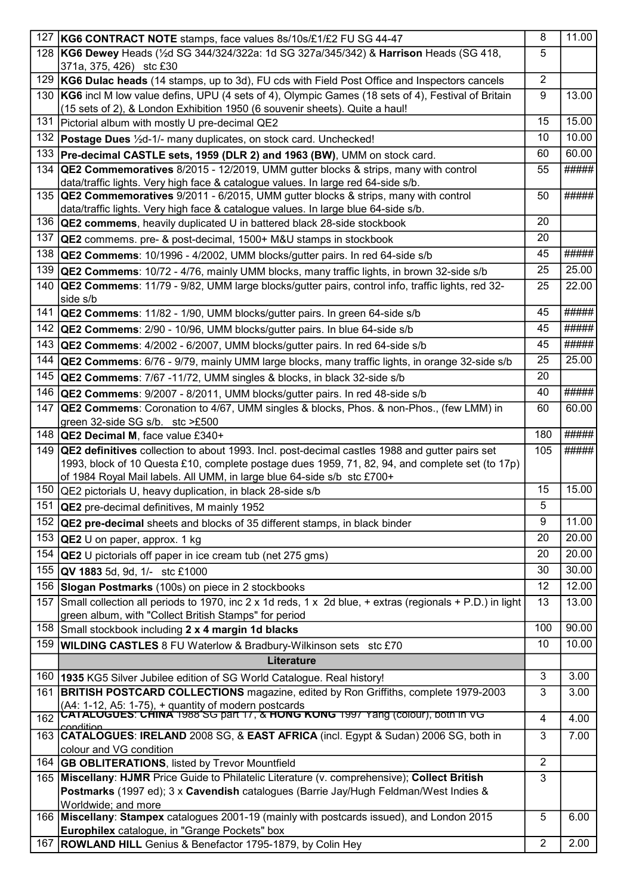| 127 | KG6 CONTRACT NOTE stamps, face values 8s/10s/£1/£2 FU SG 44-47                                                                                                      | 8              | 11.00 |
|-----|---------------------------------------------------------------------------------------------------------------------------------------------------------------------|----------------|-------|
|     | 128 KG6 Dewey Heads (1/2d SG 344/324/322a: 1d SG 327a/345/342) & Harrison Heads (SG 418,                                                                            | 5              |       |
|     | 371a, 375, 426) stc £30                                                                                                                                             |                |       |
| 129 | KG6 Dulac heads (14 stamps, up to 3d), FU cds with Field Post Office and Inspectors cancels                                                                         | $\overline{2}$ |       |
| 130 | KG6 incl M low value defins, UPU (4 sets of 4), Olympic Games (18 sets of 4), Festival of Britain                                                                   | 9              | 13.00 |
|     | (15 sets of 2), & London Exhibition 1950 (6 souvenir sheets). Quite a haul!                                                                                         |                |       |
| 131 | Pictorial album with mostly U pre-decimal QE2                                                                                                                       | 15             | 15.00 |
| 132 | <b>Postage Dues</b> 1/2d-1/- many duplicates, on stock card. Unchecked!                                                                                             | 10             | 10.00 |
| 133 | Pre-decimal CASTLE sets, 1959 (DLR 2) and 1963 (BW), UMM on stock card.                                                                                             | 60             | 60.00 |
|     | 134 QE2 Commemoratives 8/2015 - 12/2019, UMM gutter blocks & strips, many with control                                                                              | 55             | ##### |
|     | data/traffic lights. Very high face & catalogue values. In large red 64-side s/b.                                                                                   |                |       |
|     | 135 <b>QE2 Commemoratives</b> 9/2011 - 6/2015, UMM gutter blocks & strips, many with control                                                                        | 50             | ##### |
| 136 | data/traffic lights. Very high face & catalogue values. In large blue 64-side s/b.<br><b>QE2 commems</b> , heavily duplicated U in battered black 28-side stockbook | 20             |       |
| 137 |                                                                                                                                                                     | 20             |       |
|     | <b>QE2</b> commems. pre- & post-decimal, 1500+ M&U stamps in stockbook                                                                                              |                |       |
| 138 | <b>QE2 Commems:</b> 10/1996 - 4/2002, UMM blocks/gutter pairs. In red 64-side s/b                                                                                   | 45             | ##### |
| 139 | <b>QE2 Commems:</b> 10/72 - 4/76, mainly UMM blocks, many traffic lights, in brown 32-side s/b                                                                      | 25             | 25.00 |
| 140 | QE2 Commems: 11/79 - 9/82, UMM large blocks/gutter pairs, control info, traffic lights, red 32-<br>side s/b                                                         | 25             | 22.00 |
| 141 | QE2 Commems: 11/82 - 1/90, UMM blocks/gutter pairs. In green 64-side s/b                                                                                            | 45             | ##### |
|     | 142   QE2 Commems: 2/90 - 10/96, UMM blocks/gutter pairs. In blue 64-side s/b                                                                                       | 45             | ##### |
|     | 143 QE2 Commems: 4/2002 - 6/2007, UMM blocks/gutter pairs. In red 64-side s/b                                                                                       | 45             | ##### |
| 144 | <b>QE2 Commems:</b> 6/76 - 9/79, mainly UMM large blocks, many traffic lights, in orange 32-side s/b                                                                | 25             | 25.00 |
|     |                                                                                                                                                                     | 20             |       |
|     | 145   QE2 Commems: 7/67 -11/72, UMM singles & blocks, in black 32-side s/b                                                                                          |                |       |
|     | 146   QE2 Commems: 9/2007 - 8/2011, UMM blocks/gutter pairs. In red 48-side s/b                                                                                     | 40             | ##### |
| 147 | QE2 Commems: Coronation to 4/67, UMM singles & blocks, Phos. & non-Phos., (few LMM) in<br>green 32-side SG s/b. stc >£500                                           | 60             | 60.00 |
|     | 148 QE2 Decimal M, face value £340+                                                                                                                                 | 180            | ##### |
|     | 149 QE2 definitives collection to about 1993. Incl. post-decimal castles 1988 and gutter pairs set                                                                  | 105            | ##### |
|     | 1993, block of 10 Questa £10, complete postage dues 1959, 71, 82, 94, and complete set (to 17p)                                                                     |                |       |
|     | of 1984 Royal Mail labels. All UMM, in large blue 64-side s/b stc £700+                                                                                             |                |       |
| 150 | <b>QE2</b> pictorials U, heavy duplication, in black 28-side s/b                                                                                                    | 15             | 15.00 |
|     | 151 QE2 pre-decimal definitives, M mainly 1952                                                                                                                      | 5              |       |
| 152 | <b>QE2 pre-decimal</b> sheets and blocks of 35 different stamps, in black binder                                                                                    | 9              | 11.00 |
|     | 153 QE2 U on paper, approx. 1 kg                                                                                                                                    | 20             | 20.00 |
| 154 | <b>QE2</b> U pictorials off paper in ice cream tub (net 275 gms)                                                                                                    | 20             | 20.00 |
|     | 155 QV 1883 5d, 9d, 1/- stc £1000                                                                                                                                   | 30             | 30.00 |
| 156 | Slogan Postmarks (100s) on piece in 2 stockbooks                                                                                                                    | 12             | 12.00 |
| 157 | Small collection all periods to 1970, inc 2 x 1d reds, 1 x 2d blue, + extras (regionals + P.D.) in light                                                            | 13             | 13.00 |
|     | green album, with "Collect British Stamps" for period                                                                                                               |                |       |
|     | 158 Small stockbook including 2 x 4 margin 1d blacks                                                                                                                | 100            | 90.00 |
| 159 | <b>WILDING CASTLES</b> 8 FU Waterlow & Bradbury-Wilkinson sets stc £70                                                                                              | 10             | 10.00 |
|     | Literature                                                                                                                                                          |                |       |
| 160 | <b>1935 KG5 Silver Jubilee edition of SG World Catalogue. Real history!</b>                                                                                         | 3              | 3.00  |
| 161 | <b>BRITISH POSTCARD COLLECTIONS</b> magazine, edited by Ron Griffiths, complete 1979-2003                                                                           | 3              | 3.00  |
|     | (A4: 1-12, A5: 1-75), + quantity of modern postcards<br> CATALOGUES: CHINA 1988 SG part 17, & HONG KONG 1997 Yang (colour), both in VG.                             |                |       |
| 162 |                                                                                                                                                                     | 4              | 4.00  |
|     | condition<br>163 CATALOGUES: IRELAND 2008 SG, & EAST AFRICA (incl. Egypt & Sudan) 2006 SG, both in                                                                  | 3              | 7.00  |
|     | colour and VG condition                                                                                                                                             |                |       |
| 164 | <b>GB OBLITERATIONS, listed by Trevor Mountfield</b>                                                                                                                | 2              |       |
| 165 | Miscellany: HJMR Price Guide to Philatelic Literature (v. comprehensive); Collect British                                                                           | 3              |       |
|     | Postmarks (1997 ed); 3 x Cavendish catalogues (Barrie Jay/Hugh Feldman/West Indies &                                                                                |                |       |
|     | Worldwide; and more<br>166 Miscellany: Stampex catalogues 2001-19 (mainly with postcards issued), and London 2015                                                   |                |       |
|     | Europhilex catalogue, in "Grange Pockets" box                                                                                                                       | 5              | 6.00  |
| 167 | <b>ROWLAND HILL</b> Genius & Benefactor 1795-1879, by Colin Hey                                                                                                     | $\overline{2}$ | 2.00  |
|     |                                                                                                                                                                     |                |       |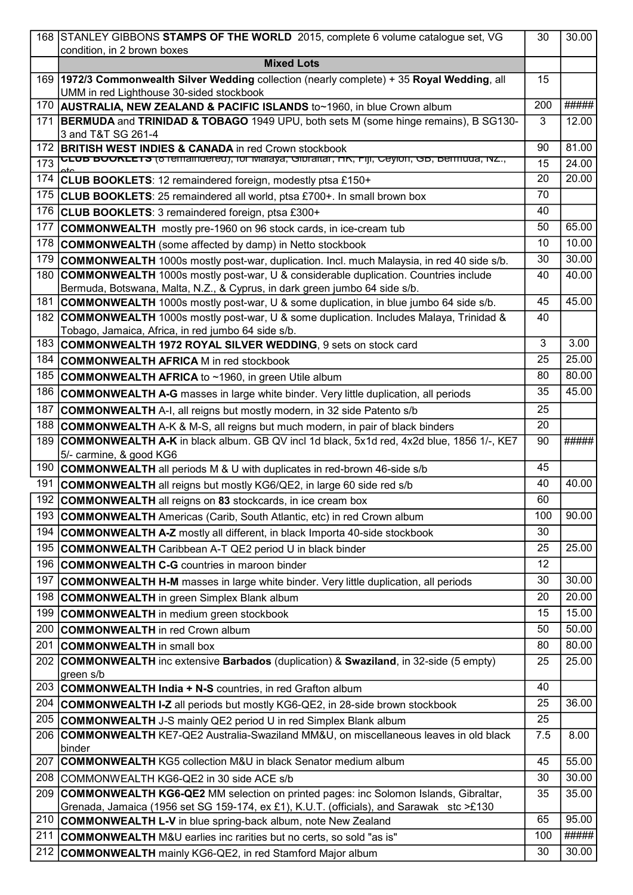|     | 168 STANLEY GIBBONS STAMPS OF THE WORLD 2015, complete 6 volume catalogue set, VG                                                                                                              | 30  | 30.00 |
|-----|------------------------------------------------------------------------------------------------------------------------------------------------------------------------------------------------|-----|-------|
|     | condition, in 2 brown boxes                                                                                                                                                                    |     |       |
|     | <b>Mixed Lots</b>                                                                                                                                                                              |     |       |
|     | 169   1972/3 Commonwealth Silver Wedding collection (nearly complete) + 35 Royal Wedding, all                                                                                                  | 15  |       |
|     | UMM in red Lighthouse 30-sided stockbook                                                                                                                                                       |     | ##### |
| 170 | AUSTRALIA, NEW ZEALAND & PACIFIC ISLANDS to~1960, in blue Crown album                                                                                                                          | 200 |       |
| 171 | <b>BERMUDA</b> and TRINIDAD & TOBAGO 1949 UPU, both sets M (some hinge remains), B SG130-<br>3 and T&T SG 261-4                                                                                | 3   | 12.00 |
| 172 | <b>BRITISH WEST INDIES &amp; CANADA in red Crown stockbook</b>                                                                                                                                 | 90  | 81.00 |
| 173 | <u>י. CLUB bUUKLETS (ס ופווומווטפופט), וטו ואומא</u> פן, Greman <del>מולדון, Ceylon, Gb, Demanu</del>                                                                                          | 15  | 24.00 |
| 174 | CLUB BOOKLETS: 12 remaindered foreign, modestly ptsa £150+                                                                                                                                     | 20  | 20.00 |
| 175 | <b>CLUB BOOKLETS:</b> 25 remaindered all world, ptsa £700+. In small brown box                                                                                                                 | 70  |       |
| 176 | CLUB BOOKLETS: 3 remaindered foreign, ptsa £300+                                                                                                                                               | 40  |       |
| 177 | <b>COMMONWEALTH</b> mostly pre-1960 on 96 stock cards, in ice-cream tub                                                                                                                        | 50  | 65.00 |
| 178 | <b>COMMONWEALTH</b> (some affected by damp) in Netto stockbook                                                                                                                                 | 10  | 10.00 |
| 179 |                                                                                                                                                                                                | 30  | 30.00 |
|     | <b>COMMONWEALTH</b> 1000s mostly post-war, duplication. Incl. much Malaysia, in red 40 side s/b.<br><b>COMMONWEALTH</b> 1000s mostly post-war, U & considerable duplication. Countries include |     | 40.00 |
| 180 | Bermuda, Botswana, Malta, N.Z., & Cyprus, in dark green jumbo 64 side s/b.                                                                                                                     | 40  |       |
| 181 | <b>COMMONWEALTH</b> 1000s mostly post-war, U & some duplication, in blue jumbo 64 side s/b.                                                                                                    | 45  | 45.00 |
| 182 | <b>COMMONWEALTH</b> 1000s mostly post-war, U & some duplication. Includes Malaya, Trinidad &                                                                                                   | 40  |       |
|     | Tobago, Jamaica, Africa, in red jumbo 64 side s/b.                                                                                                                                             |     |       |
| 183 | COMMONWEALTH 1972 ROYAL SILVER WEDDING, 9 sets on stock card                                                                                                                                   | 3   | 3.00  |
| 184 | <b>COMMONWEALTH AFRICA M in red stockbook</b>                                                                                                                                                  | 25  | 25.00 |
| 185 | <b>COMMONWEALTH AFRICA to ~1960, in green Utile album</b>                                                                                                                                      | 80  | 80.00 |
| 186 | <b>COMMONWEALTH A-G</b> masses in large white binder. Very little duplication, all periods                                                                                                     | 35  | 45.00 |
| 187 | <b>COMMONWEALTH</b> A-I, all reigns but mostly modern, in 32 side Patento s/b                                                                                                                  | 25  |       |
| 188 | <b>COMMONWEALTH</b> A-K & M-S, all reigns but much modern, in pair of black binders                                                                                                            | 20  |       |
| 189 | <b>COMMONWEALTH A-K</b> in black album. GB QV incl 1d black, 5x1d red, 4x2d blue, 1856 1/-, KE7                                                                                                | 90  | ##### |
|     | 5/- carmine, & good KG6                                                                                                                                                                        |     |       |
| 190 | <b>COMMONWEALTH</b> all periods M & U with duplicates in red-brown 46-side s/b                                                                                                                 | 45  |       |
| 191 | <b>COMMONWEALTH</b> all reigns but mostly KG6/QE2, in large 60 side red s/b                                                                                                                    | 40  | 40.00 |
|     | 192 COMMONWEALTH all reigns on 83 stockcards, in ice cream box                                                                                                                                 | 60  |       |
| 193 | <b>COMMONWEALTH</b> Americas (Carib, South Atlantic, etc) in red Crown album                                                                                                                   | 100 | 90.00 |
| 194 | <b>COMMONWEALTH A-Z</b> mostly all different, in black Importa 40-side stockbook                                                                                                               | 30  |       |
| 195 | <b>COMMONWEALTH</b> Caribbean A-T QE2 period U in black binder                                                                                                                                 | 25  | 25.00 |
| 196 | <b>COMMONWEALTH C-G</b> countries in maroon binder                                                                                                                                             | 12  |       |
| 197 | <b>COMMONWEALTH H-M</b> masses in large white binder. Very little duplication, all periods                                                                                                     | 30  | 30.00 |
| 198 | <b>COMMONWEALTH</b> in green Simplex Blank album                                                                                                                                               | 20  | 20.00 |
| 199 | <b>COMMONWEALTH</b> in medium green stockbook                                                                                                                                                  | 15  | 15.00 |
| 200 | <b>COMMONWEALTH</b> in red Crown album                                                                                                                                                         | 50  | 50.00 |
| 201 | <b>COMMONWEALTH</b> in small box                                                                                                                                                               | 80  | 80.00 |
| 202 | <b>COMMONWEALTH</b> inc extensive Barbados (duplication) & Swaziland, in 32-side (5 empty)                                                                                                     | 25  | 25.00 |
|     | green s/b                                                                                                                                                                                      |     |       |
| 203 | <b>COMMONWEALTH India + N-S</b> countries, in red Grafton album                                                                                                                                | 40  |       |
| 204 | COMMONWEALTH I-Z all periods but mostly KG6-QE2, in 28-side brown stockbook                                                                                                                    | 25  | 36.00 |
| 205 | <b>COMMONWEALTH</b> J-S mainly QE2 period U in red Simplex Blank album                                                                                                                         | 25  |       |
| 206 | COMMONWEALTH KE7-QE2 Australia-Swaziland MM&U, on miscellaneous leaves in old black                                                                                                            | 7.5 | 8.00  |
|     | binder                                                                                                                                                                                         |     |       |
| 207 | <b>COMMONWEALTH KG5 collection M&amp;U in black Senator medium album</b>                                                                                                                       | 45  | 55.00 |
| 208 | COMMONWEALTH KG6-QE2 in 30 side ACE s/b                                                                                                                                                        | 30  | 30.00 |
| 209 | <b>COMMONWEALTH KG6-QE2</b> MM selection on printed pages: inc Solomon Islands, Gibraltar,<br>Grenada, Jamaica (1956 set SG 159-174, ex £1), K.U.T. (officials), and Sarawak stc >£130         | 35  | 35.00 |
| 210 | <b>COMMONWEALTH L-V</b> in blue spring-back album, note New Zealand                                                                                                                            | 65  | 95.00 |
| 211 | <b>COMMONWEALTH</b> M&U earlies inc rarities but no certs, so sold "as is"                                                                                                                     | 100 | ##### |
| 212 | <b>COMMONWEALTH</b> mainly KG6-QE2, in red Stamford Major album                                                                                                                                | 30  | 30.00 |
|     |                                                                                                                                                                                                |     |       |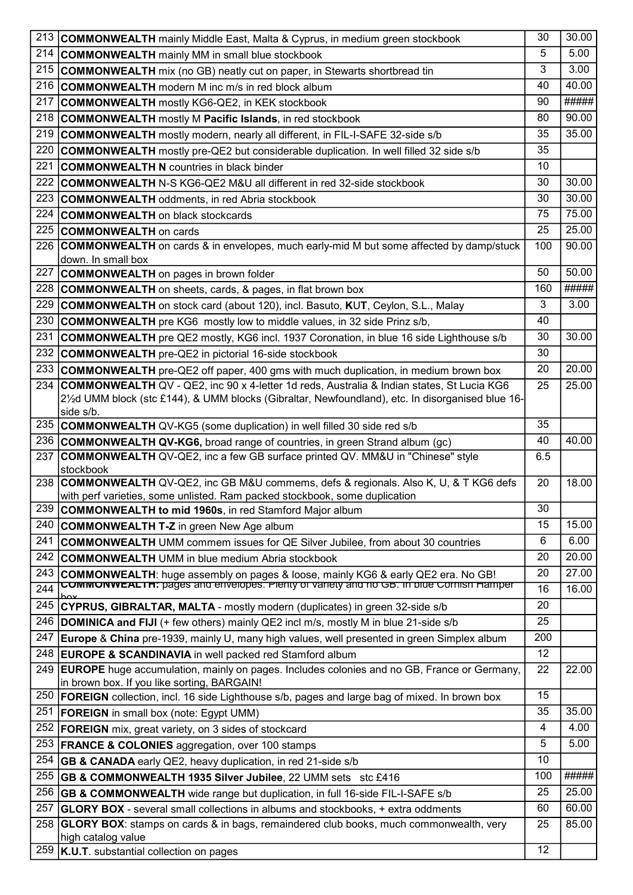| 213 | <b>COMMONWEALTH</b> mainly Middle East, Malta & Cyprus, in medium green stockbook                                                                                                | 30  | 30.00 |
|-----|----------------------------------------------------------------------------------------------------------------------------------------------------------------------------------|-----|-------|
| 214 | <b>COMMONWEALTH</b> mainly MM in small blue stockbook                                                                                                                            | 5   | 5.00  |
| 215 | <b>COMMONWEALTH</b> mix (no GB) neatly cut on paper, in Stewarts shortbread tin                                                                                                  | 3   | 3.00  |
| 216 | <b>COMMONWEALTH</b> modern M inc m/s in red block album                                                                                                                          | 40  | 40.00 |
| 217 | <b>COMMONWEALTH</b> mostly KG6-QE2, in KEK stockbook                                                                                                                             | 90  | ##### |
| 218 | <b>COMMONWEALTH</b> mostly M Pacific Islands, in red stockbook                                                                                                                   | 80  | 90.00 |
| 219 | <b>COMMONWEALTH</b> mostly modern, nearly all different, in FIL-I-SAFE 32-side s/b                                                                                               | 35  | 35.00 |
| 220 | <b>COMMONWEALTH</b> mostly pre-QE2 but considerable duplication. In well filled 32 side s/b                                                                                      | 35  |       |
| 221 | <b>COMMONWEALTH N</b> countries in black binder                                                                                                                                  | 10  |       |
| 222 | <b>COMMONWEALTH</b> N-S KG6-QE2 M&U all different in red 32-side stockbook                                                                                                       | 30  | 30.00 |
| 223 | <b>COMMONWEALTH</b> oddments, in red Abria stockbook                                                                                                                             | 30  | 30.00 |
| 224 | <b>COMMONWEALTH on black stockcards</b>                                                                                                                                          | 75  | 75.00 |
| 225 | <b>COMMONWEALTH on cards</b>                                                                                                                                                     | 25  | 25.00 |
| 226 | <b>COMMONWEALTH</b> on cards & in envelopes, much early-mid M but some affected by damp/stuck                                                                                    | 100 | 90.00 |
|     | down. In small box                                                                                                                                                               |     |       |
| 227 | <b>COMMONWEALTH</b> on pages in brown folder                                                                                                                                     | 50  | 50.00 |
| 228 | <b>COMMONWEALTH</b> on sheets, cards, & pages, in flat brown box                                                                                                                 | 160 | ##### |
| 229 | <b>COMMONWEALTH</b> on stock card (about 120), incl. Basuto, KUT, Ceylon, S.L., Malay                                                                                            | 3   | 3.00  |
| 230 | <b>COMMONWEALTH</b> pre KG6 mostly low to middle values, in 32 side Prinz s/b,                                                                                                   | 40  |       |
| 231 | COMMONWEALTH pre QE2 mostly, KG6 incl. 1937 Coronation, in blue 16 side Lighthouse s/b                                                                                           | 30  | 30.00 |
| 232 | <b>COMMONWEALTH</b> pre-QE2 in pictorial 16-side stockbook                                                                                                                       | 30  |       |
| 233 | <b>COMMONWEALTH</b> pre-QE2 off paper, 400 gms with much duplication, in medium brown box                                                                                        | 20  | 20.00 |
| 234 | <b>COMMONWEALTH QV - QE2, inc 90 x 4-letter 1d reds, Australia &amp; Indian states, St Lucia KG6</b>                                                                             | 25  | 25.00 |
|     | 2½d UMM block (stc £144), & UMM blocks (Gibraltar, Newfoundland), etc. In disorganised blue 16-<br>side s/b.                                                                     |     |       |
| 235 | <b>COMMONWEALTH</b> QV-KG5 (some duplication) in well filled 30 side red s/b                                                                                                     | 35  |       |
| 236 | <b>COMMONWEALTH QV-KG6,</b> broad range of countries, in green Strand album (gc)                                                                                                 | 40  | 40.00 |
| 237 | <b>COMMONWEALTH</b> QV-QE2, inc a few GB surface printed QV. MM&U in "Chinese" style                                                                                             | 6.5 |       |
|     | stockbook                                                                                                                                                                        |     |       |
| 238 | <b>COMMONWEALTH</b> QV-QE2, inc GB M&U commems, defs & regionals. Also K, U, & T KG6 defs                                                                                        | 20  | 18.00 |
| 239 | with perf varieties, some unlisted. Ram packed stockbook, some duplication                                                                                                       | 30  |       |
| 240 | <b>COMMONWEALTH to mid 1960s, in red Stamford Major album</b>                                                                                                                    | 15  | 15.00 |
|     | <b>COMMONWEALTH T-Z</b> in green New Age album                                                                                                                                   |     |       |
| 241 | <b>COMMONWEALTH</b> UMM commem issues for QE Silver Jubilee, from about 30 countries                                                                                             | 6   | 6.00  |
| 242 | <b>COMMONWEALTH</b> UMM in blue medium Abria stockbook                                                                                                                           | 20  | 20.00 |
| 243 | COMMONWEALTH: huge assembly on pages & loose, mainly KG6 & early QE2 era. No GB!<br><b>COMMONWEALTH: pages and envelopes. Plenty or variety and no GB. In one Cornish Hamper</b> | 20  | 27.00 |
| 244 |                                                                                                                                                                                  | 16  | 16.00 |
| 245 | <b>CYPRUS, GIBRALTAR, MALTA - mostly modern (duplicates) in green 32-side s/b</b>                                                                                                | 20  |       |
| 246 | <b>DOMINICA and FIJI</b> (+ few others) mainly QE2 incl m/s, mostly M in blue 21-side s/b                                                                                        | 25  |       |
| 247 | Europe & China pre-1939, mainly U, many high values, well presented in green Simplex album                                                                                       | 200 |       |
| 248 | <b>EUROPE &amp; SCANDINAVIA</b> in well packed red Stamford album                                                                                                                | 12  |       |
| 249 | <b>EUROPE</b> huge accumulation, mainly on pages. Includes colonies and no GB, France or Germany,<br>in brown box. If you like sorting, BARGAIN!                                 | 22  | 22.00 |
| 250 | <b>FOREIGN</b> collection, incl. 16 side Lighthouse s/b, pages and large bag of mixed. In brown box                                                                              | 15  |       |
| 251 | <b>FOREIGN</b> in small box (note: Egypt UMM)                                                                                                                                    | 35  | 35.00 |
| 252 | <b>FOREIGN</b> mix, great variety, on 3 sides of stockcard                                                                                                                       | 4   | 4.00  |
| 253 | <b>FRANCE &amp; COLONIES</b> aggregation, over 100 stamps                                                                                                                        | 5   | 5.00  |
| 254 | <b>GB &amp; CANADA</b> early QE2, heavy duplication, in red 21-side s/b                                                                                                          | 10  |       |
| 255 | <b>GB &amp; COMMONWEALTH 1935 Silver Jubilee, 22 UMM sets stc £416</b>                                                                                                           | 100 | ##### |
| 256 | <b>GB &amp; COMMONWEALTH</b> wide range but duplication, in full 16-side FIL-I-SAFE s/b                                                                                          | 25  | 25.00 |
| 257 | <b>GLORY BOX</b> - several small collections in albums and stockbooks, + extra oddments                                                                                          | 60  | 60.00 |
| 258 | <b>GLORY BOX:</b> stamps on cards & in bags, remaindered club books, much commonwealth, very                                                                                     | 25  | 85.00 |
|     | high catalog value                                                                                                                                                               |     |       |
| 259 | K.U.T. substantial collection on pages                                                                                                                                           | 12  |       |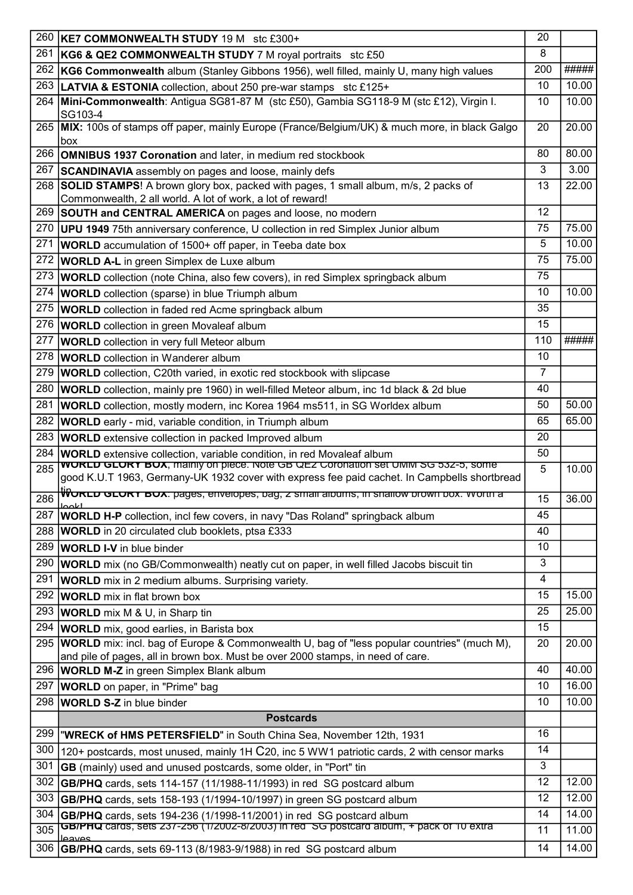| 260 | KE7 COMMONWEALTH STUDY 19 M stc £300+                                                                                                                                                | 20  |       |
|-----|--------------------------------------------------------------------------------------------------------------------------------------------------------------------------------------|-----|-------|
| 261 | KG6 & QE2 COMMONWEALTH STUDY 7 M royal portraits stc £50                                                                                                                             | 8   |       |
| 262 | KG6 Commonwealth album (Stanley Gibbons 1956), well filled, mainly U, many high values                                                                                               | 200 | ##### |
| 263 | LATVIA & ESTONIA collection, about 250 pre-war stamps stc £125+                                                                                                                      | 10  | 10.00 |
| 264 | Mini-Commonwealth: Antigua SG81-87 M (stc £50), Gambia SG118-9 M (stc £12), Virgin I.<br>SG103-4                                                                                     | 10  | 10.00 |
| 265 | MIX: 100s of stamps off paper, mainly Europe (France/Belgium/UK) & much more, in black Galgo<br>box                                                                                  | 20  | 20.00 |
| 266 | <b>OMNIBUS 1937 Coronation and later, in medium red stockbook</b>                                                                                                                    | 80  | 80.00 |
| 267 | <b>SCANDINAVIA</b> assembly on pages and loose, mainly defs                                                                                                                          | 3   | 3.00  |
| 268 | <b>SOLID STAMPS!</b> A brown glory box, packed with pages, 1 small album, m/s, 2 packs of                                                                                            | 13  | 22.00 |
|     | Commonwealth, 2 all world. A lot of work, a lot of reward!                                                                                                                           |     |       |
| 269 | SOUTH and CENTRAL AMERICA on pages and loose, no modern                                                                                                                              | 12  |       |
| 270 | UPU 1949 75th anniversary conference, U collection in red Simplex Junior album                                                                                                       | 75  | 75.00 |
| 271 | <b>WORLD</b> accumulation of 1500+ off paper, in Teeba date box                                                                                                                      | 5   | 10.00 |
| 272 | <b>WORLD A-L</b> in green Simplex de Luxe album                                                                                                                                      | 75  | 75.00 |
| 273 | <b>WORLD</b> collection (note China, also few covers), in red Simplex springback album                                                                                               | 75  |       |
| 274 | <b>WORLD</b> collection (sparse) in blue Triumph album                                                                                                                               | 10  | 10.00 |
| 275 | <b>WORLD</b> collection in faded red Acme springback album                                                                                                                           | 35  |       |
| 276 | <b>WORLD</b> collection in green Movaleaf album                                                                                                                                      | 15  |       |
| 277 | <b>WORLD</b> collection in very full Meteor album                                                                                                                                    | 110 | ##### |
| 278 | <b>WORLD</b> collection in Wanderer album                                                                                                                                            | 10  |       |
| 279 | <b>WORLD</b> collection, C20th varied, in exotic red stockbook with slipcase                                                                                                         | 7   |       |
| 280 | <b>WORLD</b> collection, mainly pre 1960) in well-filled Meteor album, inc 1d black & 2d blue                                                                                        | 40  |       |
| 281 | <b>WORLD</b> collection, mostly modern, inc Korea 1964 ms511, in SG Worldex album                                                                                                    | 50  | 50.00 |
| 282 | <b>WORLD</b> early - mid, variable condition, in Triumph album                                                                                                                       | 65  | 65.00 |
| 283 | <b>WORLD</b> extensive collection in packed Improved album                                                                                                                           | 20  |       |
| 284 | <b>WORLD</b> extensive collection, variable condition, in red Movaleaf album                                                                                                         | 50  |       |
| 285 | <b>WORLD GLORY BOX</b> , mainly on piece. Note GB QEZ Coronation set UMM SG 532-5, some                                                                                              | 5   | 10.00 |
|     | good K.U.T 1963, Germany-UK 1932 cover with express fee paid cachet. In Campbells shortbread                                                                                         |     |       |
| 286 | <del>WorLD GLORT BOX: pages, envelopes, pag, z small albums, in snallow prown box. worth a</del>                                                                                     | 15  | 36.00 |
| 287 | <b>WORLD H-P</b> collection, incl few covers, in navy "Das Roland" springback album                                                                                                  | 45  |       |
| 288 | <b>WORLD</b> in 20 circulated club booklets, ptsa £333                                                                                                                               | 40  |       |
| 289 | <b>WORLD I-V</b> in blue binder                                                                                                                                                      | 10  |       |
| 290 | <b>WORLD</b> mix (no GB/Commonwealth) neatly cut on paper, in well filled Jacobs biscuit tin                                                                                         | 3   |       |
| 291 | <b>WORLD</b> mix in 2 medium albums. Surprising variety.                                                                                                                             | 4   |       |
| 292 | <b>WORLD</b> mix in flat brown box                                                                                                                                                   | 15  | 15.00 |
| 293 | <b>WORLD</b> mix M & U, in Sharp tin                                                                                                                                                 | 25  | 25.00 |
| 294 | <b>WORLD</b> mix, good earlies, in Barista box                                                                                                                                       | 15  |       |
| 295 | <b>WORLD</b> mix: incl. bag of Europe & Commonwealth U, bag of "less popular countries" (much M),<br>and pile of pages, all in brown box. Must be over 2000 stamps, in need of care. | 20  | 20.00 |
| 296 | <b>WORLD M-Z</b> in green Simplex Blank album                                                                                                                                        | 40  | 40.00 |
| 297 | <b>WORLD</b> on paper, in "Prime" bag                                                                                                                                                | 10  | 16.00 |
| 298 | <b>WORLD S-Z</b> in blue binder                                                                                                                                                      | 10  | 10.00 |
|     | <b>Postcards</b>                                                                                                                                                                     |     |       |
| 299 | "WRECK of HMS PETERSFIELD" in South China Sea, November 12th, 1931                                                                                                                   | 16  |       |
| 300 | 120+ postcards, most unused, mainly 1H C20, inc 5 WW1 patriotic cards, 2 with censor marks                                                                                           | 14  |       |
| 301 | <b>GB</b> (mainly) used and unused postcards, some older, in "Port" tin                                                                                                              | 3   |       |
| 302 | <b>GB/PHQ</b> cards, sets 114-157 (11/1988-11/1993) in red SG postcard album                                                                                                         | 12  | 12.00 |
| 303 | <b>GB/PHQ</b> cards, sets 158-193 (1/1994-10/1997) in green SG postcard album                                                                                                        | 12  | 12.00 |
| 304 | GB/PHQ cards, sets 194-236 (1/1998-11/2001) in red SG postcard album                                                                                                                 | 14  | 14.00 |
| 305 | GBIPHQ cards, sets 237-256 (1/2002-8/2003) in red SG postcard album, + pack of 10 extra                                                                                              | 11  | 11.00 |
| 306 | عمرروما<br>GB/PHQ cards, sets 69-113 (8/1983-9/1988) in red SG postcard album                                                                                                        | 14  | 14.00 |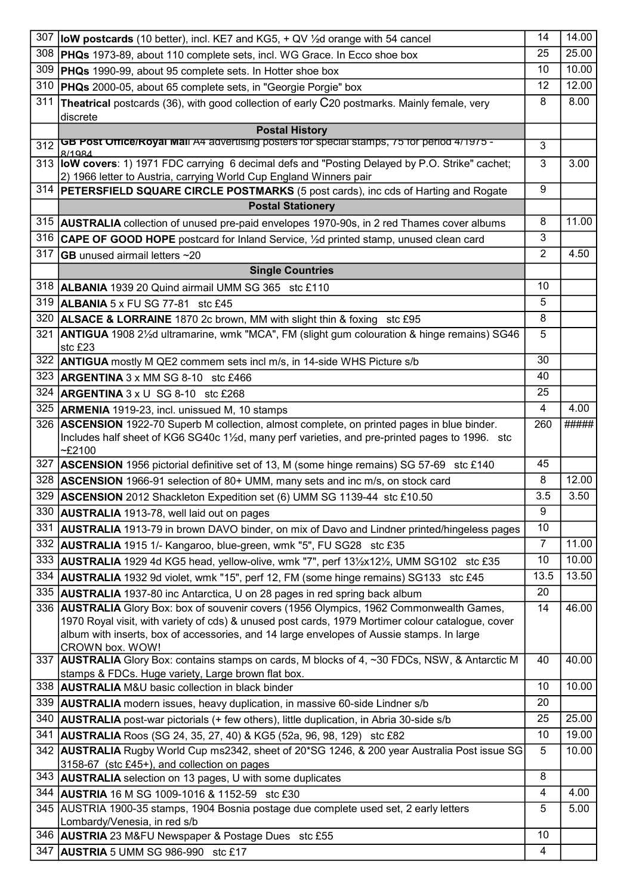| 307 | <b>low postcards</b> (10 better), incl. KE7 and KG5, $+$ QV $\frac{1}{2}$ d orange with 54 cancel                                                                             | 14             | 14.00          |
|-----|-------------------------------------------------------------------------------------------------------------------------------------------------------------------------------|----------------|----------------|
| 308 | <b>PHQs</b> 1973-89, about 110 complete sets, incl. WG Grace. In Ecco shoe box                                                                                                | 25             | 25.00          |
| 309 | <b>PHQs</b> 1990-99, about 95 complete sets. In Hotter shoe box                                                                                                               | 10             | 10.00          |
| 310 | <b>PHQs</b> 2000-05, about 65 complete sets, in "Georgie Porgie" box                                                                                                          | 12             | 12.00          |
| 311 | Theatrical postcards (36), with good collection of early C20 postmarks. Mainly female, very                                                                                   | 8              | 8.00           |
|     | discrete                                                                                                                                                                      |                |                |
|     | <b>Postal History</b>                                                                                                                                                         |                |                |
| 312 | GB POST Office/Royal Mail A4 advertising posters for special stamps, 75 for period 4/1975 -<br>8/1984                                                                         | 3              |                |
|     | 313 <b>IoW covers</b> : 1) 1971 FDC carrying 6 decimal defs and "Posting Delayed by P.O. Strike" cachet;                                                                      | 3              | 3.00           |
|     | 2) 1966 letter to Austria, carrying World Cup England Winners pair                                                                                                            |                |                |
| 314 | <b>PETERSFIELD SQUARE CIRCLE POSTMARKS</b> (5 post cards), inc cds of Harting and Rogate                                                                                      | 9              |                |
|     | <b>Postal Stationery</b>                                                                                                                                                      |                |                |
| 315 | <b>AUSTRALIA</b> collection of unused pre-paid envelopes 1970-90s, in 2 red Thames cover albums                                                                               | 8              | 11.00          |
|     | 316 CAPE OF GOOD HOPE postcard for Inland Service, 1/2d printed stamp, unused clean card                                                                                      | 3              |                |
| 317 | $ GB$ unused airmail letters $~20$                                                                                                                                            | 2              | 4.50           |
|     | <b>Single Countries</b>                                                                                                                                                       |                |                |
|     | 318   ALBANIA 1939 20 Quind airmail UMM SG 365 stc £110                                                                                                                       | 10             |                |
|     | 319   ALBANIA 5 x FU SG 77-81 stc £45                                                                                                                                         | 5              |                |
| 320 | <b>ALSACE &amp; LORRAINE 1870 2c brown, MM with slight thin &amp; foxing stc £95</b>                                                                                          | 8              |                |
| 321 | ANTIGUA 1908 21/2d ultramarine, wmk "MCA", FM (slight gum colouration & hinge remains) SG46                                                                                   | 5              |                |
|     | stc £23                                                                                                                                                                       |                |                |
| 322 | <b>ANTIGUA</b> mostly M QE2 commem sets incl m/s, in 14-side WHS Picture s/b                                                                                                  | 30             |                |
|     | 323 <b>ARGENTINA</b> 3 x MM SG 8-10 stc £466                                                                                                                                  | 40             |                |
| 324 | $ARGENTINA 3 x U SG 8-10$ stc £268                                                                                                                                            | 25             |                |
| 325 | <b>ARMENIA</b> 1919-23, incl. unissued M, 10 stamps                                                                                                                           | 4              | 4.00           |
|     | 326 <b>ASCENSION</b> 1922-70 Superb M collection, almost complete, on printed pages in blue binder.                                                                           | 260            | #####          |
|     | Includes half sheet of KG6 SG40c 1½d, many perf varieties, and pre-printed pages to 1996. stc<br>$-£2100$                                                                     |                |                |
| 327 | <b>ASCENSION</b> 1956 pictorial definitive set of 13, M (some hinge remains) SG 57-69 stc £140                                                                                | 45             |                |
| 328 | ASCENSION 1966-91 selection of 80+ UMM, many sets and inc m/s, on stock card                                                                                                  | 8              | 12.00          |
| 329 | ASCENSION 2012 Shackleton Expedition set (6) UMM SG 1139-44 stc £10.50                                                                                                        | 3.5            | 3.50           |
|     | 330 <b>AUSTRALIA</b> 1913-78, well laid out on pages                                                                                                                          | 9              |                |
| 331 | <b>AUSTRALIA</b> 1913-79 in brown DAVO binder, on mix of Davo and Lindner printed/hingeless pages                                                                             | 10             |                |
| 332 | <b>AUSTRALIA</b> 1915 1/- Kangaroo, blue-green, wmk "5", FU SG28 stc £35                                                                                                      | $\overline{7}$ | 11.00          |
| 333 | AUSTRALIA 1929 4d KG5 head, yellow-olive, wmk "7", perf 131/2x121/2, UMM SG102 stc £35                                                                                        | 10             | 10.00          |
| 334 |                                                                                                                                                                               | 13.5           | 13.50          |
| 335 | AUSTRALIA 1932 9d violet, wmk "15", perf 12, FM (some hinge remains) SG133 stc £45                                                                                            | 20             |                |
|     | <b>AUSTRALIA</b> 1937-80 inc Antarctica, U on 28 pages in red spring back album<br>336   AUSTRALIA Glory Box: box of souvenir covers (1956 Olympics, 1962 Commonwealth Games, | 14             | 46.00          |
|     | 1970 Royal visit, with variety of cds) & unused post cards, 1979 Mortimer colour catalogue, cover                                                                             |                |                |
|     | album with inserts, box of accessories, and 14 large envelopes of Aussie stamps. In large                                                                                     |                |                |
|     | CROWN box. WOW!                                                                                                                                                               |                |                |
|     | 337 AUSTRALIA Glory Box: contains stamps on cards, M blocks of 4, ~30 FDCs, NSW, & Antarctic M                                                                                | 40             | 40.00          |
|     | stamps & FDCs. Huge variety, Large brown flat box.<br>338 AUSTRALIA M&U basic collection in black binder                                                                      | 10             | 10.00          |
| 339 |                                                                                                                                                                               | 20             |                |
|     | <b>AUSTRALIA</b> modern issues, heavy duplication, in massive 60-side Lindner s/b                                                                                             |                |                |
| 340 | <b>AUSTRALIA</b> post-war pictorials (+ few others), little duplication, in Abria 30-side s/b                                                                                 | 25             | 25.00<br>19.00 |
| 341 | <b>AUSTRALIA</b> Roos (SG 24, 35, 27, 40) & KG5 (52a, 96, 98, 129) stc £82                                                                                                    | 10             |                |
|     | 342 <b>AUSTRALIA</b> Rugby World Cup ms2342, sheet of 20*SG 1246, & 200 year Australia Post issue SG<br>3158-67 (stc £45+), and collection on pages                           | 5              | 10.00          |
| 343 | <b>AUSTRALIA</b> selection on 13 pages, U with some duplicates                                                                                                                | 8              |                |
| 344 | <b>AUSTRIA</b> 16 M SG 1009-1016 & 1152-59 stc £30                                                                                                                            | 4              | 4.00           |
| 345 | AUSTRIA 1900-35 stamps, 1904 Bosnia postage due complete used set, 2 early letters                                                                                            | 5              | 5.00           |
|     | Lombardy/Venesia, in red s/b                                                                                                                                                  |                |                |
|     | 346 AUSTRIA 23 M&FU Newspaper & Postage Dues stc £55                                                                                                                          | 10             |                |
| 347 | <b>AUSTRIA</b> 5 UMM SG 986-990 stc £17                                                                                                                                       | $\overline{4}$ |                |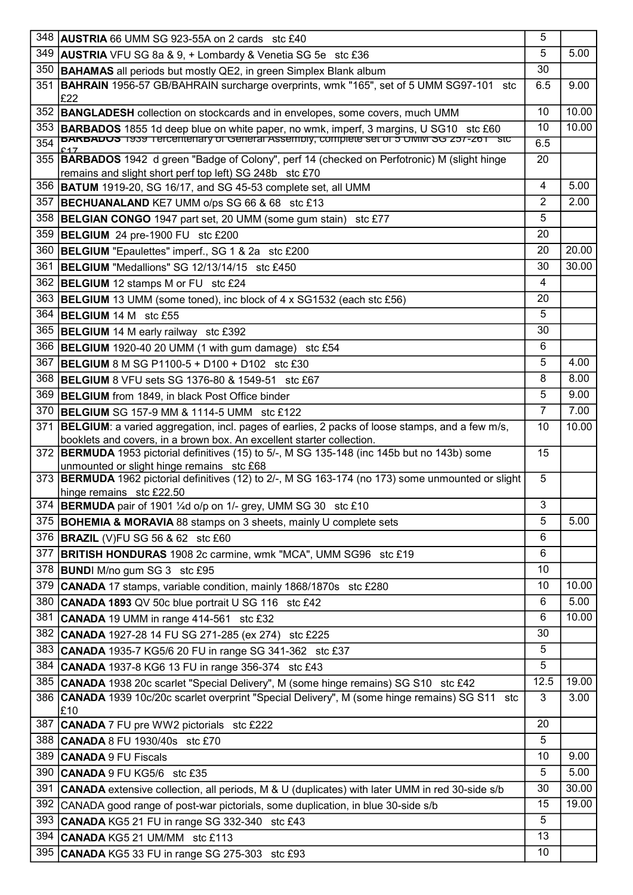|     | 348   AUSTRIA 66 UMM SG 923-55A on 2 cards stc £40                                                                                                        | 5    |       |
|-----|-----------------------------------------------------------------------------------------------------------------------------------------------------------|------|-------|
| 349 | <b>AUSTRIA</b> VFU SG 8a & 9, + Lombardy & Venetia SG 5e stc £36                                                                                          | 5    | 5.00  |
| 350 | <b>BAHAMAS</b> all periods but mostly QE2, in green Simplex Blank album                                                                                   | 30   |       |
| 351 | <b>BAHRAIN</b> 1956-57 GB/BAHRAIN surcharge overprints, wmk "165", set of 5 UMM SG97-101 stc<br>£22                                                       | 6.5  | 9.00  |
| 352 | <b>BANGLADESH</b> collection on stockcards and in envelopes, some covers, much UMM                                                                        | 10   | 10.00 |
| 353 | BARBADOS 1855 1d deep blue on white paper, no wmk, imperf, 3 margins, U SG10 stc £60                                                                      | 10   | 10.00 |
| 354 | <b>BARBADUS</b> 1939 Tercentenary or General Assembly, complete set or 5 UMIM 5G 257-261 Stc                                                              | 6.5  |       |
|     | 355  BARBADOS 1942 d green "Badge of Colony", perf 14 (checked on Perfotronic) M (slight hinge<br>remains and slight short perf top left) SG 248b stc £70 | 20   |       |
| 356 | <b>BATUM</b> 1919-20, SG 16/17, and SG 45-53 complete set, all UMM                                                                                        | 4    | 5.00  |
| 357 | <b>BECHUANALAND KE7 UMM o/ps SG 66 &amp; 68 stc £13</b>                                                                                                   | 2    | 2.00  |
| 358 | <b>BELGIAN CONGO</b> 1947 part set, 20 UMM (some gum stain)<br>stc £77                                                                                    | 5    |       |
| 359 | BELGIUM 24 pre-1900 FU stc £200                                                                                                                           | 20   |       |
| 360 | <b>BELGIUM</b> "Epaulettes" imperf., SG 1 & 2a stc £200                                                                                                   | 20   | 20.00 |
| 361 | <b>BELGIUM</b> "Medallions" SG 12/13/14/15 stc £450                                                                                                       | 30   | 30.00 |
| 362 | <b>BELGIUM</b> 12 stamps M or FU stc £24                                                                                                                  | 4    |       |
| 363 | <b>BELGIUM</b> 13 UMM (some toned), inc block of 4 x SG1532 (each stc £56)                                                                                | 20   |       |
| 364 | BELGIUM 14 M stc £55                                                                                                                                      | 5    |       |
| 365 | BELGIUM 14 M early railway stc £392                                                                                                                       | 30   |       |
| 366 | <b>BELGIUM</b> 1920-40 20 UMM (1 with gum damage) stc £54                                                                                                 | 6    |       |
| 367 | <b>BELGIUM</b> 8 M SG P1100-5 + D100 + D102 stc £30                                                                                                       | 5    | 4.00  |
| 368 | <b>BELGIUM 8 VFU sets SG 1376-80 &amp; 1549-51 stc £67</b>                                                                                                | 8    | 8.00  |
| 369 | <b>BELGIUM</b> from 1849, in black Post Office binder                                                                                                     | 5    | 9.00  |
| 370 | <b>BELGIUM</b> SG 157-9 MM & 1114-5 UMM stc £122                                                                                                          | 7    | 7.00  |
| 371 | <b>BELGIUM:</b> a varied aggregation, incl. pages of earlies, 2 packs of loose stamps, and a few m/s,                                                     | 10   | 10.00 |
|     | booklets and covers, in a brown box. An excellent starter collection.                                                                                     |      |       |
| 372 | <b>BERMUDA</b> 1953 pictorial definitives (15) to 5/-, M SG 135-148 (inc 145b but no 143b) some<br>unmounted or slight hinge remains stc £68              | 15   |       |
|     | 373 <b>BERMUDA</b> 1962 pictorial definitives (12) to 2/-, M SG 163-174 (no 173) some unmounted or slight<br>hinge remains stc £22.50                     | 5    |       |
|     | 374 BERMUDA pair of 1901 1/4d o/p on 1/- grey, UMM SG 30 stc £10                                                                                          | 3    |       |
| 375 | <b>BOHEMIA &amp; MORAVIA</b> 88 stamps on 3 sheets, mainly U complete sets                                                                                | 5    | 5.00  |
| 376 | <b>BRAZIL</b> (V)FU SG 56 & 62 stc £60                                                                                                                    | 6    |       |
| 377 | <b>BRITISH HONDURAS</b> 1908 2c carmine, wmk "MCA", UMM SG96 stc £19                                                                                      | 6    |       |
| 378 | <b>BUND</b> I M/no gum SG 3 stc £95                                                                                                                       | 10   |       |
| 379 | <b>CANADA</b> 17 stamps, variable condition, mainly 1868/1870s stc £280                                                                                   | 10   | 10.00 |
| 380 | <b>CANADA 1893 QV 50c blue portrait U SG 116 stc £42</b>                                                                                                  | 6    | 5.00  |
| 381 | CANADA 19 UMM in range 414-561 stc £32                                                                                                                    | 6    | 10.00 |
| 382 | <b>CANADA</b> 1927-28 14 FU SG 271-285 (ex 274) stc £225                                                                                                  | 30   |       |
|     | 383 CANADA 1935-7 KG5/6 20 FU in range SG 341-362 stc £37                                                                                                 | 5    |       |
| 384 | <b>CANADA</b> 1937-8 KG6 13 FU in range 356-374 stc £43                                                                                                   | 5    |       |
| 385 | CANADA 1938 20c scarlet "Special Delivery", M (some hinge remains) SG S10 stc £42                                                                         | 12.5 | 19.00 |
|     | 386 CANADA 1939 10c/20c scarlet overprint "Special Delivery", M (some hinge remains) SG S11 stc                                                           | 3    | 3.00  |
|     | E10                                                                                                                                                       |      |       |
| 387 | <b>CANADA</b> 7 FU pre WW2 pictorials stc £222                                                                                                            | 20   |       |
| 388 | <b>CANADA 8 FU 1930/40s</b> stc £70                                                                                                                       | 5    |       |
|     | 389   CANADA 9 FU Fiscals                                                                                                                                 | 10   | 9.00  |
| 390 | CANADA 9 FU KG5/6 stc £35                                                                                                                                 | 5    | 5.00  |
| 391 | <b>CANADA</b> extensive collection, all periods, M & U (duplicates) with later UMM in red 30-side s/b                                                     | 30   | 30.00 |
| 392 | CANADA good range of post-war pictorials, some duplication, in blue 30-side s/b                                                                           | 15   | 19.00 |
| 393 | CANADA KG5 21 FU in range SG 332-340 stc £43                                                                                                              | 5    |       |
| 394 | CANADA KG5 21 UM/MM stc £113                                                                                                                              | 13   |       |
| 395 | CANADA KG5 33 FU in range SG 275-303 stc £93                                                                                                              | 10   |       |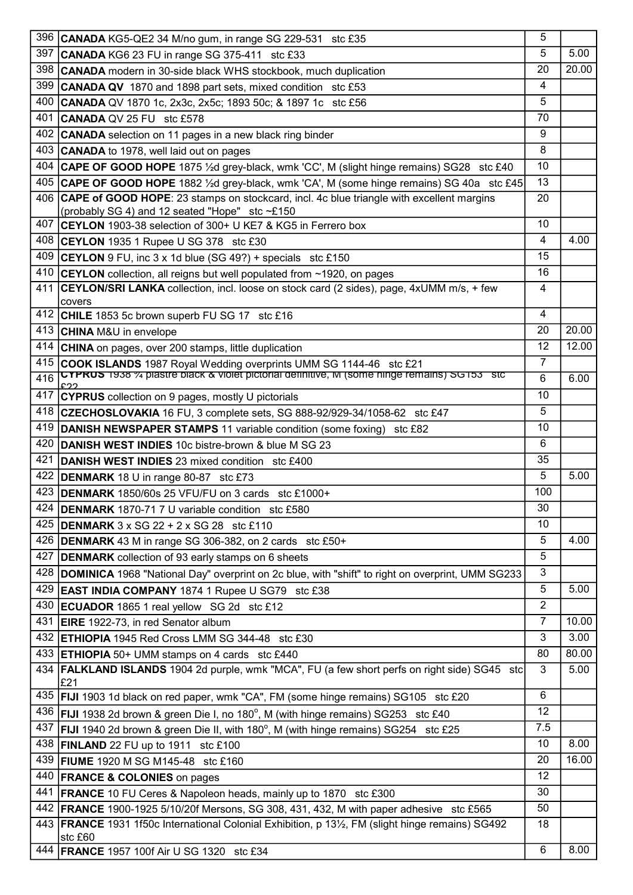|     | 396 CANADA KG5-QE2 34 M/no gum, in range SG 229-531 stc £35                                                                                                             | 5              |       |
|-----|-------------------------------------------------------------------------------------------------------------------------------------------------------------------------|----------------|-------|
| 397 | <b>CANADA</b> KG6 23 FU in range SG 375-411 stc £33                                                                                                                     | 5              | 5.00  |
| 398 | <b>CANADA</b> modern in 30-side black WHS stockbook, much duplication                                                                                                   | 20             | 20.00 |
| 399 | <b>CANADA QV</b> 1870 and 1898 part sets, mixed condition stc £53                                                                                                       | $\overline{4}$ |       |
| 400 | CANADA QV 1870 1c, 2x3c, 2x5c; 1893 50c; & 1897 1c stc £56                                                                                                              | 5              |       |
| 401 | <b>CANADA QV 25 FU stc £578</b>                                                                                                                                         | 70             |       |
| 402 | <b>CANADA</b> selection on 11 pages in a new black ring binder                                                                                                          | 9              |       |
| 403 | <b>CANADA</b> to 1978, well laid out on pages                                                                                                                           | 8              |       |
| 404 | CAPE OF GOOD HOPE 1875 1/2d grey-black, wmk 'CC', M (slight hinge remains) SG28 stc £40                                                                                 | 10             |       |
| 405 | CAPE OF GOOD HOPE 1882 1/2d grey-black, wmk 'CA', M (some hinge remains) SG 40a stc £45                                                                                 | 13             |       |
|     | 406 CAPE of GOOD HOPE: 23 stamps on stockcard, incl. 4c blue triangle with excellent margins                                                                            | 20             |       |
|     | (probably SG 4) and 12 seated "Hope" stc ~£150                                                                                                                          |                |       |
|     | 407 CEYLON 1903-38 selection of 300+ U KE7 & KG5 in Ferrero box                                                                                                         | 10             |       |
|     | 408 CEYLON 1935 1 Rupee U SG 378 stc £30                                                                                                                                | 4              | 4.00  |
| 409 | CEYLON 9 FU, inc 3 x 1d blue (SG 49?) + specials stc £150                                                                                                               | 15             |       |
| 410 | <b>CEYLON</b> collection, all reigns but well populated from ~1920, on pages                                                                                            | 16             |       |
| 411 | <b>CEYLON/SRI LANKA</b> collection, incl. loose on stock card (2 sides), page, 4xUMM m/s, + few                                                                         | 4              |       |
|     | covers                                                                                                                                                                  |                |       |
|     | 412 CHILE 1853 5c brown superb FU SG 17 stc £16                                                                                                                         | 4              |       |
|     | 413 CHINA M&U in envelope                                                                                                                                               | 20             | 20.00 |
| 414 | CHINA on pages, over 200 stamps, little duplication                                                                                                                     | 12             | 12.00 |
| 415 | COOK ISLANDS 1987 Royal Wedding overprints UMM SG 1144-46 stc £21<br><b>CYPRUS</b> 1938 % plastre black & violet pictorial definitive, M (some ninge remains) SG153 Stc | $\overline{7}$ |       |
| 416 |                                                                                                                                                                         | 6              | 6.00  |
| 417 | CYPRUS collection on 9 pages, mostly U pictorials                                                                                                                       | 10             |       |
|     | 418 CZECHOSLOVAKIA 16 FU, 3 complete sets, SG 888-92/929-34/1058-62 stc £47                                                                                             | 5              |       |
| 419 | <b>DANISH NEWSPAPER STAMPS 11 variable condition (some foxing)</b> stc £82                                                                                              | 10             |       |
| 420 | <b>DANISH WEST INDIES</b> 10c bistre-brown & blue M SG 23                                                                                                               | 6              |       |
| 421 | DANISH WEST INDIES 23 mixed condition stc £400                                                                                                                          | 35             |       |
| 422 | <b>DENMARK</b> 18 U in range 80-87 stc £73                                                                                                                              | 5              | 5.00  |
| 423 | <b>DENMARK</b> 1850/60s 25 VFU/FU on 3 cards stc £1000+                                                                                                                 | 100            |       |
| 424 | <b>DENMARK</b> 1870-71 7 U variable condition stc £580                                                                                                                  | 30             |       |
| 425 | <b>DENMARK</b> $3 \times SG$ 22 + 2 $\times SG$ 28 stc £110                                                                                                             | 10             |       |
| 426 | <b>DENMARK</b> 43 M in range SG 306-382, on 2 cards stc £50+                                                                                                            | 5              | 4.00  |
| 427 | <b>DENMARK</b> collection of 93 early stamps on 6 sheets                                                                                                                | 5              |       |
| 428 | DOMINICA 1968 "National Day" overprint on 2c blue, with "shift" to right on overprint, UMM SG233                                                                        | 3              |       |
| 429 | <b>EAST INDIA COMPANY</b> 1874 1 Rupee U SG79 stc £38                                                                                                                   | 5              | 5.00  |
| 430 | ECUADOR 1865 1 real yellow SG 2d stc £12                                                                                                                                | $\overline{2}$ |       |
| 431 | <b>EIRE</b> 1922-73, in red Senator album                                                                                                                               | $\overline{7}$ | 10.00 |
| 432 | <b>ETHIOPIA</b> 1945 Red Cross LMM SG 344-48 stc £30                                                                                                                    | 3              | 3.00  |
| 433 | <b>ETHIOPIA</b> 50+ UMM stamps on 4 cards stc £440                                                                                                                      | 80             | 80.00 |
|     | 434 <b>FALKLAND ISLANDS</b> 1904 2d purple, wmk "MCA", FU (a few short perfs on right side) SG45 stc<br>£21                                                             | 3              | 5.00  |
|     | 435   FIJI 1903 1d black on red paper, wmk "CA", FM (some hinge remains) SG105 stc £20                                                                                  | 6              |       |
|     | 436 <b>FIJI</b> 1938 2d brown & green Die I, no 180°, M (with hinge remains) SG253 stc £40                                                                              | 12             |       |
| 437 | <b>FIJI</b> 1940 2d brown & green Die II, with 180°, M (with hinge remains) SG254 stc £25                                                                               | 7.5            |       |
| 438 | $\overline{\text{FINLAND}}$ 22 FU up to 1911 stc £100                                                                                                                   | 10             | 8.00  |
| 439 | <b>FIUME</b> 1920 M SG M145-48 stc £160                                                                                                                                 | 20             | 16.00 |
| 440 | <b>FRANCE &amp; COLONIES</b> on pages                                                                                                                                   | 12             |       |
| 441 | <b>FRANCE</b> 10 FU Ceres & Napoleon heads, mainly up to 1870 stc £300                                                                                                  | 30             |       |
| 442 | <b>FRANCE</b> 1900-1925 5/10/20f Mersons, SG 308, 431, 432, M with paper adhesive stc £565                                                                              | 50             |       |
|     | 443   FRANCE 1931 1f50c International Colonial Exhibition, p 131/2, FM (slight hinge remains) SG492                                                                     | 18             |       |
|     | stc £60                                                                                                                                                                 |                |       |
| 444 | <b>FRANCE 1957 100f Air U SG 1320 stc £34</b>                                                                                                                           | 6              | 8.00  |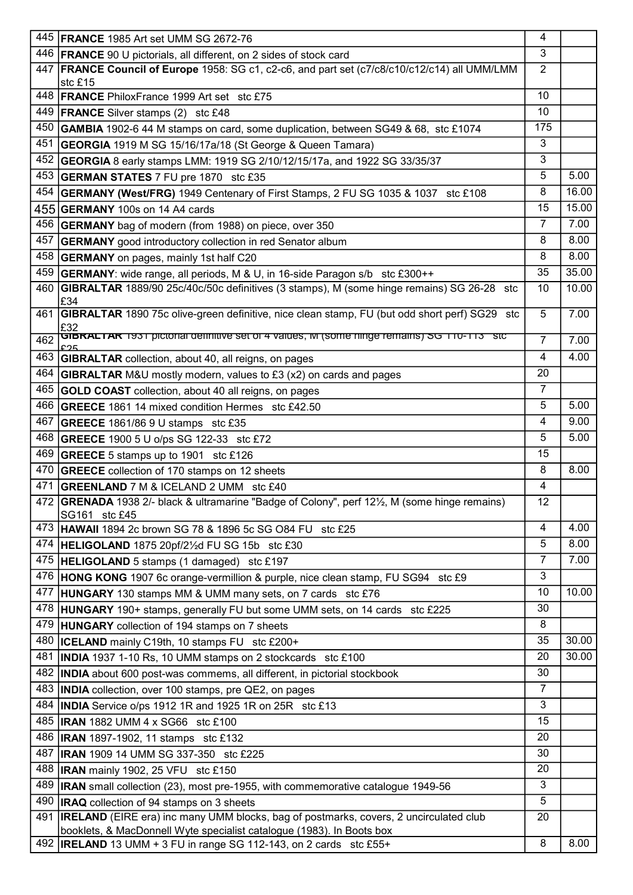| 3<br>446 <b>FRANCE</b> 90 U pictorials, all different, on 2 sides of stock card<br><b>FRANCE Council of Europe</b> 1958: SG c1, c2-c6, and part set (c7/c8/c10/c12/c14) all UMM/LMM<br>$\overline{2}$<br>447<br>stc £15<br>10<br>448 <b>FRANCE</b> PhiloxFrance 1999 Art set stc £75<br>10<br>449   FRANCE Silver stamps (2) stc £48<br>175<br>450 GAMBIA 1902-6 44 M stamps on card, some duplication, between SG49 & 68, stc £1074<br>3<br>451<br>GEORGIA 1919 M SG 15/16/17a/18 (St George & Queen Tamara)<br>3<br>452<br>GEORGIA 8 early stamps LMM: 1919 SG 2/10/12/15/17a, and 1922 SG 33/35/37<br>5<br>5.00<br>453 GERMAN STATES 7 FU pre 1870 stc £35<br>8<br>16.00<br>454 <b>GERMANY (West/FRG)</b> 1949 Centenary of First Stamps, 2 FU SG 1035 & 1037 stc £108<br>15.00<br>15<br>455 <b>GERMANY</b> 100s on 14 A4 cards<br>$\overline{7}$<br>7.00<br>456 GERMANY bag of modern (from 1988) on piece, over 350<br>8.00<br>457<br>8<br><b>GERMANY</b> good introductory collection in red Senator album<br>8<br>458 GERMANY on pages, mainly 1st half C20<br>35<br>459 <b>GERMANY</b> : wide range, all periods, M & U, in 16-side Paragon s/b stc £300++<br><b>GIBRALTAR</b> 1889/90 25c/40c/50c definitives (3 stamps), M (some hinge remains) SG 26-28 stc<br>460<br>10<br>£34<br>7.00<br><b>GIBRALTAR</b> 1890 75c olive-green definitive, nice clean stamp, FU (but odd short perf) SG29 stc<br>5<br>461<br>£32<br>GIBRAL IAR 1931 pictorial definitive set of 4 values, M (some ninge remains) SG TTU-TT3 Stc<br>462<br>$\overline{7}$<br>4.00<br>4<br>463 <b>GIBRALTAR</b> collection, about 40, all reigns, on pages<br>20<br>464 GIBRALTAR M&U mostly modern, values to £3 (x2) on cards and pages<br>$\overline{7}$<br>465 GOLD COAST collection, about 40 all reigns, on pages<br>5<br>466 GREECE 1861 14 mixed condition Hermes stc £42.50<br>467<br>4<br> GREECE 1861/86 9 U stamps  stc £35<br>5<br>468<br>GREECE 1900 5 U o/ps SG 122-33 stc £72<br>15<br>469 GREECE 5 stamps up to 1901 stc £126<br>470 GREECE collection of 170 stamps on 12 sheets<br>8<br>$\overline{4}$<br>471<br>GREENLAND 7 M & ICELAND 2 UMM stc £40<br>472<br><b>GRENADA</b> 1938 2/- black & ultramarine "Badge of Colony", perf 121/ <sub>2</sub> , M (some hinge remains)<br>12<br>SG161 stc £45<br>4<br>4.00<br>473  HAWAII 1894 2c brown SG 78 & 1896 5c SG O84 FU stc £25<br>5<br>8.00<br>474<br>HELIGOLAND 1875 20pf/21/2d FU SG 15b stc £30<br>7.00<br>7<br>475   HELIGOLAND 5 stamps (1 damaged) stc £197<br>3<br>476  HONG KONG 1907 6c orange-vermillion & purple, nice clean stamp, FU SG94 stc £9<br>10.00<br>10<br>477<br><b>HUNGARY</b> 130 stamps MM & UMM many sets, on 7 cards stc £76<br>30<br>478<br><b>HUNGARY</b> 190+ stamps, generally FU but some UMM sets, on 14 cards stc £225<br>8<br>479<br><b>HUNGARY</b> collection of 194 stamps on 7 sheets<br>35<br>480<br><b>ICELAND</b> mainly C19th, 10 stamps FU stc £200+<br>481<br>20<br><b>INDIA</b> 1937 1-10 Rs, 10 UMM stamps on 2 stockcards stc £100<br>30<br>482<br><b>INDIA</b> about 600 post-was commems, all different, in pictorial stockbook<br>$\overline{7}$<br>483<br><b>INDIA</b> collection, over 100 stamps, pre QE2, on pages<br>3<br>484 <b>INDIA</b> Service o/ps 1912 1R and 1925 1R on 25R stc £13 | 445   FRANCE 1985 Art set UMM SG 2672-76     | 4  |       |
|-----------------------------------------------------------------------------------------------------------------------------------------------------------------------------------------------------------------------------------------------------------------------------------------------------------------------------------------------------------------------------------------------------------------------------------------------------------------------------------------------------------------------------------------------------------------------------------------------------------------------------------------------------------------------------------------------------------------------------------------------------------------------------------------------------------------------------------------------------------------------------------------------------------------------------------------------------------------------------------------------------------------------------------------------------------------------------------------------------------------------------------------------------------------------------------------------------------------------------------------------------------------------------------------------------------------------------------------------------------------------------------------------------------------------------------------------------------------------------------------------------------------------------------------------------------------------------------------------------------------------------------------------------------------------------------------------------------------------------------------------------------------------------------------------------------------------------------------------------------------------------------------------------------------------------------------------------------------------------------------------------------------------------------------------------------------------------------------------------------------------------------------------------------------------------------------------------------------------------------------------------------------------------------------------------------------------------------------------------------------------------------------------------------------------------------------------------------------------------------------------------------------------------------------------------------------------------------------------------------------------------------------------------------------------------------------------------------------------------------------------------------------------------------------------------------------------------------------------------------------------------------------------------------------------------------------------------------------------------------------------------------------------------------------------------------------------------------------------------------------------------------------------------------------------------------------------------------------------------------------------------------------------------------------------------|----------------------------------------------|----|-------|
|                                                                                                                                                                                                                                                                                                                                                                                                                                                                                                                                                                                                                                                                                                                                                                                                                                                                                                                                                                                                                                                                                                                                                                                                                                                                                                                                                                                                                                                                                                                                                                                                                                                                                                                                                                                                                                                                                                                                                                                                                                                                                                                                                                                                                                                                                                                                                                                                                                                                                                                                                                                                                                                                                                                                                                                                                                                                                                                                                                                                                                                                                                                                                                                                                                                                                                     |                                              |    |       |
|                                                                                                                                                                                                                                                                                                                                                                                                                                                                                                                                                                                                                                                                                                                                                                                                                                                                                                                                                                                                                                                                                                                                                                                                                                                                                                                                                                                                                                                                                                                                                                                                                                                                                                                                                                                                                                                                                                                                                                                                                                                                                                                                                                                                                                                                                                                                                                                                                                                                                                                                                                                                                                                                                                                                                                                                                                                                                                                                                                                                                                                                                                                                                                                                                                                                                                     |                                              |    |       |
|                                                                                                                                                                                                                                                                                                                                                                                                                                                                                                                                                                                                                                                                                                                                                                                                                                                                                                                                                                                                                                                                                                                                                                                                                                                                                                                                                                                                                                                                                                                                                                                                                                                                                                                                                                                                                                                                                                                                                                                                                                                                                                                                                                                                                                                                                                                                                                                                                                                                                                                                                                                                                                                                                                                                                                                                                                                                                                                                                                                                                                                                                                                                                                                                                                                                                                     |                                              |    |       |
|                                                                                                                                                                                                                                                                                                                                                                                                                                                                                                                                                                                                                                                                                                                                                                                                                                                                                                                                                                                                                                                                                                                                                                                                                                                                                                                                                                                                                                                                                                                                                                                                                                                                                                                                                                                                                                                                                                                                                                                                                                                                                                                                                                                                                                                                                                                                                                                                                                                                                                                                                                                                                                                                                                                                                                                                                                                                                                                                                                                                                                                                                                                                                                                                                                                                                                     |                                              |    |       |
|                                                                                                                                                                                                                                                                                                                                                                                                                                                                                                                                                                                                                                                                                                                                                                                                                                                                                                                                                                                                                                                                                                                                                                                                                                                                                                                                                                                                                                                                                                                                                                                                                                                                                                                                                                                                                                                                                                                                                                                                                                                                                                                                                                                                                                                                                                                                                                                                                                                                                                                                                                                                                                                                                                                                                                                                                                                                                                                                                                                                                                                                                                                                                                                                                                                                                                     |                                              |    |       |
|                                                                                                                                                                                                                                                                                                                                                                                                                                                                                                                                                                                                                                                                                                                                                                                                                                                                                                                                                                                                                                                                                                                                                                                                                                                                                                                                                                                                                                                                                                                                                                                                                                                                                                                                                                                                                                                                                                                                                                                                                                                                                                                                                                                                                                                                                                                                                                                                                                                                                                                                                                                                                                                                                                                                                                                                                                                                                                                                                                                                                                                                                                                                                                                                                                                                                                     |                                              |    |       |
|                                                                                                                                                                                                                                                                                                                                                                                                                                                                                                                                                                                                                                                                                                                                                                                                                                                                                                                                                                                                                                                                                                                                                                                                                                                                                                                                                                                                                                                                                                                                                                                                                                                                                                                                                                                                                                                                                                                                                                                                                                                                                                                                                                                                                                                                                                                                                                                                                                                                                                                                                                                                                                                                                                                                                                                                                                                                                                                                                                                                                                                                                                                                                                                                                                                                                                     |                                              |    |       |
|                                                                                                                                                                                                                                                                                                                                                                                                                                                                                                                                                                                                                                                                                                                                                                                                                                                                                                                                                                                                                                                                                                                                                                                                                                                                                                                                                                                                                                                                                                                                                                                                                                                                                                                                                                                                                                                                                                                                                                                                                                                                                                                                                                                                                                                                                                                                                                                                                                                                                                                                                                                                                                                                                                                                                                                                                                                                                                                                                                                                                                                                                                                                                                                                                                                                                                     |                                              |    |       |
|                                                                                                                                                                                                                                                                                                                                                                                                                                                                                                                                                                                                                                                                                                                                                                                                                                                                                                                                                                                                                                                                                                                                                                                                                                                                                                                                                                                                                                                                                                                                                                                                                                                                                                                                                                                                                                                                                                                                                                                                                                                                                                                                                                                                                                                                                                                                                                                                                                                                                                                                                                                                                                                                                                                                                                                                                                                                                                                                                                                                                                                                                                                                                                                                                                                                                                     |                                              |    |       |
|                                                                                                                                                                                                                                                                                                                                                                                                                                                                                                                                                                                                                                                                                                                                                                                                                                                                                                                                                                                                                                                                                                                                                                                                                                                                                                                                                                                                                                                                                                                                                                                                                                                                                                                                                                                                                                                                                                                                                                                                                                                                                                                                                                                                                                                                                                                                                                                                                                                                                                                                                                                                                                                                                                                                                                                                                                                                                                                                                                                                                                                                                                                                                                                                                                                                                                     |                                              |    |       |
|                                                                                                                                                                                                                                                                                                                                                                                                                                                                                                                                                                                                                                                                                                                                                                                                                                                                                                                                                                                                                                                                                                                                                                                                                                                                                                                                                                                                                                                                                                                                                                                                                                                                                                                                                                                                                                                                                                                                                                                                                                                                                                                                                                                                                                                                                                                                                                                                                                                                                                                                                                                                                                                                                                                                                                                                                                                                                                                                                                                                                                                                                                                                                                                                                                                                                                     |                                              |    |       |
|                                                                                                                                                                                                                                                                                                                                                                                                                                                                                                                                                                                                                                                                                                                                                                                                                                                                                                                                                                                                                                                                                                                                                                                                                                                                                                                                                                                                                                                                                                                                                                                                                                                                                                                                                                                                                                                                                                                                                                                                                                                                                                                                                                                                                                                                                                                                                                                                                                                                                                                                                                                                                                                                                                                                                                                                                                                                                                                                                                                                                                                                                                                                                                                                                                                                                                     |                                              |    |       |
|                                                                                                                                                                                                                                                                                                                                                                                                                                                                                                                                                                                                                                                                                                                                                                                                                                                                                                                                                                                                                                                                                                                                                                                                                                                                                                                                                                                                                                                                                                                                                                                                                                                                                                                                                                                                                                                                                                                                                                                                                                                                                                                                                                                                                                                                                                                                                                                                                                                                                                                                                                                                                                                                                                                                                                                                                                                                                                                                                                                                                                                                                                                                                                                                                                                                                                     |                                              |    |       |
|                                                                                                                                                                                                                                                                                                                                                                                                                                                                                                                                                                                                                                                                                                                                                                                                                                                                                                                                                                                                                                                                                                                                                                                                                                                                                                                                                                                                                                                                                                                                                                                                                                                                                                                                                                                                                                                                                                                                                                                                                                                                                                                                                                                                                                                                                                                                                                                                                                                                                                                                                                                                                                                                                                                                                                                                                                                                                                                                                                                                                                                                                                                                                                                                                                                                                                     |                                              |    | 8.00  |
|                                                                                                                                                                                                                                                                                                                                                                                                                                                                                                                                                                                                                                                                                                                                                                                                                                                                                                                                                                                                                                                                                                                                                                                                                                                                                                                                                                                                                                                                                                                                                                                                                                                                                                                                                                                                                                                                                                                                                                                                                                                                                                                                                                                                                                                                                                                                                                                                                                                                                                                                                                                                                                                                                                                                                                                                                                                                                                                                                                                                                                                                                                                                                                                                                                                                                                     |                                              |    | 35.00 |
|                                                                                                                                                                                                                                                                                                                                                                                                                                                                                                                                                                                                                                                                                                                                                                                                                                                                                                                                                                                                                                                                                                                                                                                                                                                                                                                                                                                                                                                                                                                                                                                                                                                                                                                                                                                                                                                                                                                                                                                                                                                                                                                                                                                                                                                                                                                                                                                                                                                                                                                                                                                                                                                                                                                                                                                                                                                                                                                                                                                                                                                                                                                                                                                                                                                                                                     |                                              |    | 10.00 |
|                                                                                                                                                                                                                                                                                                                                                                                                                                                                                                                                                                                                                                                                                                                                                                                                                                                                                                                                                                                                                                                                                                                                                                                                                                                                                                                                                                                                                                                                                                                                                                                                                                                                                                                                                                                                                                                                                                                                                                                                                                                                                                                                                                                                                                                                                                                                                                                                                                                                                                                                                                                                                                                                                                                                                                                                                                                                                                                                                                                                                                                                                                                                                                                                                                                                                                     |                                              |    |       |
|                                                                                                                                                                                                                                                                                                                                                                                                                                                                                                                                                                                                                                                                                                                                                                                                                                                                                                                                                                                                                                                                                                                                                                                                                                                                                                                                                                                                                                                                                                                                                                                                                                                                                                                                                                                                                                                                                                                                                                                                                                                                                                                                                                                                                                                                                                                                                                                                                                                                                                                                                                                                                                                                                                                                                                                                                                                                                                                                                                                                                                                                                                                                                                                                                                                                                                     |                                              |    | 7.00  |
|                                                                                                                                                                                                                                                                                                                                                                                                                                                                                                                                                                                                                                                                                                                                                                                                                                                                                                                                                                                                                                                                                                                                                                                                                                                                                                                                                                                                                                                                                                                                                                                                                                                                                                                                                                                                                                                                                                                                                                                                                                                                                                                                                                                                                                                                                                                                                                                                                                                                                                                                                                                                                                                                                                                                                                                                                                                                                                                                                                                                                                                                                                                                                                                                                                                                                                     |                                              |    |       |
|                                                                                                                                                                                                                                                                                                                                                                                                                                                                                                                                                                                                                                                                                                                                                                                                                                                                                                                                                                                                                                                                                                                                                                                                                                                                                                                                                                                                                                                                                                                                                                                                                                                                                                                                                                                                                                                                                                                                                                                                                                                                                                                                                                                                                                                                                                                                                                                                                                                                                                                                                                                                                                                                                                                                                                                                                                                                                                                                                                                                                                                                                                                                                                                                                                                                                                     |                                              |    |       |
|                                                                                                                                                                                                                                                                                                                                                                                                                                                                                                                                                                                                                                                                                                                                                                                                                                                                                                                                                                                                                                                                                                                                                                                                                                                                                                                                                                                                                                                                                                                                                                                                                                                                                                                                                                                                                                                                                                                                                                                                                                                                                                                                                                                                                                                                                                                                                                                                                                                                                                                                                                                                                                                                                                                                                                                                                                                                                                                                                                                                                                                                                                                                                                                                                                                                                                     |                                              |    |       |
|                                                                                                                                                                                                                                                                                                                                                                                                                                                                                                                                                                                                                                                                                                                                                                                                                                                                                                                                                                                                                                                                                                                                                                                                                                                                                                                                                                                                                                                                                                                                                                                                                                                                                                                                                                                                                                                                                                                                                                                                                                                                                                                                                                                                                                                                                                                                                                                                                                                                                                                                                                                                                                                                                                                                                                                                                                                                                                                                                                                                                                                                                                                                                                                                                                                                                                     |                                              |    | 5.00  |
|                                                                                                                                                                                                                                                                                                                                                                                                                                                                                                                                                                                                                                                                                                                                                                                                                                                                                                                                                                                                                                                                                                                                                                                                                                                                                                                                                                                                                                                                                                                                                                                                                                                                                                                                                                                                                                                                                                                                                                                                                                                                                                                                                                                                                                                                                                                                                                                                                                                                                                                                                                                                                                                                                                                                                                                                                                                                                                                                                                                                                                                                                                                                                                                                                                                                                                     |                                              |    | 9.00  |
|                                                                                                                                                                                                                                                                                                                                                                                                                                                                                                                                                                                                                                                                                                                                                                                                                                                                                                                                                                                                                                                                                                                                                                                                                                                                                                                                                                                                                                                                                                                                                                                                                                                                                                                                                                                                                                                                                                                                                                                                                                                                                                                                                                                                                                                                                                                                                                                                                                                                                                                                                                                                                                                                                                                                                                                                                                                                                                                                                                                                                                                                                                                                                                                                                                                                                                     |                                              |    | 5.00  |
|                                                                                                                                                                                                                                                                                                                                                                                                                                                                                                                                                                                                                                                                                                                                                                                                                                                                                                                                                                                                                                                                                                                                                                                                                                                                                                                                                                                                                                                                                                                                                                                                                                                                                                                                                                                                                                                                                                                                                                                                                                                                                                                                                                                                                                                                                                                                                                                                                                                                                                                                                                                                                                                                                                                                                                                                                                                                                                                                                                                                                                                                                                                                                                                                                                                                                                     |                                              |    |       |
|                                                                                                                                                                                                                                                                                                                                                                                                                                                                                                                                                                                                                                                                                                                                                                                                                                                                                                                                                                                                                                                                                                                                                                                                                                                                                                                                                                                                                                                                                                                                                                                                                                                                                                                                                                                                                                                                                                                                                                                                                                                                                                                                                                                                                                                                                                                                                                                                                                                                                                                                                                                                                                                                                                                                                                                                                                                                                                                                                                                                                                                                                                                                                                                                                                                                                                     |                                              |    | 8.00  |
|                                                                                                                                                                                                                                                                                                                                                                                                                                                                                                                                                                                                                                                                                                                                                                                                                                                                                                                                                                                                                                                                                                                                                                                                                                                                                                                                                                                                                                                                                                                                                                                                                                                                                                                                                                                                                                                                                                                                                                                                                                                                                                                                                                                                                                                                                                                                                                                                                                                                                                                                                                                                                                                                                                                                                                                                                                                                                                                                                                                                                                                                                                                                                                                                                                                                                                     |                                              |    |       |
|                                                                                                                                                                                                                                                                                                                                                                                                                                                                                                                                                                                                                                                                                                                                                                                                                                                                                                                                                                                                                                                                                                                                                                                                                                                                                                                                                                                                                                                                                                                                                                                                                                                                                                                                                                                                                                                                                                                                                                                                                                                                                                                                                                                                                                                                                                                                                                                                                                                                                                                                                                                                                                                                                                                                                                                                                                                                                                                                                                                                                                                                                                                                                                                                                                                                                                     |                                              |    |       |
|                                                                                                                                                                                                                                                                                                                                                                                                                                                                                                                                                                                                                                                                                                                                                                                                                                                                                                                                                                                                                                                                                                                                                                                                                                                                                                                                                                                                                                                                                                                                                                                                                                                                                                                                                                                                                                                                                                                                                                                                                                                                                                                                                                                                                                                                                                                                                                                                                                                                                                                                                                                                                                                                                                                                                                                                                                                                                                                                                                                                                                                                                                                                                                                                                                                                                                     |                                              |    |       |
|                                                                                                                                                                                                                                                                                                                                                                                                                                                                                                                                                                                                                                                                                                                                                                                                                                                                                                                                                                                                                                                                                                                                                                                                                                                                                                                                                                                                                                                                                                                                                                                                                                                                                                                                                                                                                                                                                                                                                                                                                                                                                                                                                                                                                                                                                                                                                                                                                                                                                                                                                                                                                                                                                                                                                                                                                                                                                                                                                                                                                                                                                                                                                                                                                                                                                                     |                                              |    |       |
|                                                                                                                                                                                                                                                                                                                                                                                                                                                                                                                                                                                                                                                                                                                                                                                                                                                                                                                                                                                                                                                                                                                                                                                                                                                                                                                                                                                                                                                                                                                                                                                                                                                                                                                                                                                                                                                                                                                                                                                                                                                                                                                                                                                                                                                                                                                                                                                                                                                                                                                                                                                                                                                                                                                                                                                                                                                                                                                                                                                                                                                                                                                                                                                                                                                                                                     |                                              |    |       |
|                                                                                                                                                                                                                                                                                                                                                                                                                                                                                                                                                                                                                                                                                                                                                                                                                                                                                                                                                                                                                                                                                                                                                                                                                                                                                                                                                                                                                                                                                                                                                                                                                                                                                                                                                                                                                                                                                                                                                                                                                                                                                                                                                                                                                                                                                                                                                                                                                                                                                                                                                                                                                                                                                                                                                                                                                                                                                                                                                                                                                                                                                                                                                                                                                                                                                                     |                                              |    |       |
|                                                                                                                                                                                                                                                                                                                                                                                                                                                                                                                                                                                                                                                                                                                                                                                                                                                                                                                                                                                                                                                                                                                                                                                                                                                                                                                                                                                                                                                                                                                                                                                                                                                                                                                                                                                                                                                                                                                                                                                                                                                                                                                                                                                                                                                                                                                                                                                                                                                                                                                                                                                                                                                                                                                                                                                                                                                                                                                                                                                                                                                                                                                                                                                                                                                                                                     |                                              |    |       |
|                                                                                                                                                                                                                                                                                                                                                                                                                                                                                                                                                                                                                                                                                                                                                                                                                                                                                                                                                                                                                                                                                                                                                                                                                                                                                                                                                                                                                                                                                                                                                                                                                                                                                                                                                                                                                                                                                                                                                                                                                                                                                                                                                                                                                                                                                                                                                                                                                                                                                                                                                                                                                                                                                                                                                                                                                                                                                                                                                                                                                                                                                                                                                                                                                                                                                                     |                                              |    |       |
|                                                                                                                                                                                                                                                                                                                                                                                                                                                                                                                                                                                                                                                                                                                                                                                                                                                                                                                                                                                                                                                                                                                                                                                                                                                                                                                                                                                                                                                                                                                                                                                                                                                                                                                                                                                                                                                                                                                                                                                                                                                                                                                                                                                                                                                                                                                                                                                                                                                                                                                                                                                                                                                                                                                                                                                                                                                                                                                                                                                                                                                                                                                                                                                                                                                                                                     |                                              |    |       |
|                                                                                                                                                                                                                                                                                                                                                                                                                                                                                                                                                                                                                                                                                                                                                                                                                                                                                                                                                                                                                                                                                                                                                                                                                                                                                                                                                                                                                                                                                                                                                                                                                                                                                                                                                                                                                                                                                                                                                                                                                                                                                                                                                                                                                                                                                                                                                                                                                                                                                                                                                                                                                                                                                                                                                                                                                                                                                                                                                                                                                                                                                                                                                                                                                                                                                                     |                                              |    |       |
|                                                                                                                                                                                                                                                                                                                                                                                                                                                                                                                                                                                                                                                                                                                                                                                                                                                                                                                                                                                                                                                                                                                                                                                                                                                                                                                                                                                                                                                                                                                                                                                                                                                                                                                                                                                                                                                                                                                                                                                                                                                                                                                                                                                                                                                                                                                                                                                                                                                                                                                                                                                                                                                                                                                                                                                                                                                                                                                                                                                                                                                                                                                                                                                                                                                                                                     |                                              |    | 30.00 |
|                                                                                                                                                                                                                                                                                                                                                                                                                                                                                                                                                                                                                                                                                                                                                                                                                                                                                                                                                                                                                                                                                                                                                                                                                                                                                                                                                                                                                                                                                                                                                                                                                                                                                                                                                                                                                                                                                                                                                                                                                                                                                                                                                                                                                                                                                                                                                                                                                                                                                                                                                                                                                                                                                                                                                                                                                                                                                                                                                                                                                                                                                                                                                                                                                                                                                                     |                                              |    | 30.00 |
|                                                                                                                                                                                                                                                                                                                                                                                                                                                                                                                                                                                                                                                                                                                                                                                                                                                                                                                                                                                                                                                                                                                                                                                                                                                                                                                                                                                                                                                                                                                                                                                                                                                                                                                                                                                                                                                                                                                                                                                                                                                                                                                                                                                                                                                                                                                                                                                                                                                                                                                                                                                                                                                                                                                                                                                                                                                                                                                                                                                                                                                                                                                                                                                                                                                                                                     |                                              |    |       |
|                                                                                                                                                                                                                                                                                                                                                                                                                                                                                                                                                                                                                                                                                                                                                                                                                                                                                                                                                                                                                                                                                                                                                                                                                                                                                                                                                                                                                                                                                                                                                                                                                                                                                                                                                                                                                                                                                                                                                                                                                                                                                                                                                                                                                                                                                                                                                                                                                                                                                                                                                                                                                                                                                                                                                                                                                                                                                                                                                                                                                                                                                                                                                                                                                                                                                                     |                                              |    |       |
|                                                                                                                                                                                                                                                                                                                                                                                                                                                                                                                                                                                                                                                                                                                                                                                                                                                                                                                                                                                                                                                                                                                                                                                                                                                                                                                                                                                                                                                                                                                                                                                                                                                                                                                                                                                                                                                                                                                                                                                                                                                                                                                                                                                                                                                                                                                                                                                                                                                                                                                                                                                                                                                                                                                                                                                                                                                                                                                                                                                                                                                                                                                                                                                                                                                                                                     |                                              |    |       |
|                                                                                                                                                                                                                                                                                                                                                                                                                                                                                                                                                                                                                                                                                                                                                                                                                                                                                                                                                                                                                                                                                                                                                                                                                                                                                                                                                                                                                                                                                                                                                                                                                                                                                                                                                                                                                                                                                                                                                                                                                                                                                                                                                                                                                                                                                                                                                                                                                                                                                                                                                                                                                                                                                                                                                                                                                                                                                                                                                                                                                                                                                                                                                                                                                                                                                                     | 485   <b>IRAN</b> 1882 UMM 4 x SG66 stc £100 | 15 |       |
| 20<br>486   <b>IRAN</b> 1897-1902, 11 stamps stc £132                                                                                                                                                                                                                                                                                                                                                                                                                                                                                                                                                                                                                                                                                                                                                                                                                                                                                                                                                                                                                                                                                                                                                                                                                                                                                                                                                                                                                                                                                                                                                                                                                                                                                                                                                                                                                                                                                                                                                                                                                                                                                                                                                                                                                                                                                                                                                                                                                                                                                                                                                                                                                                                                                                                                                                                                                                                                                                                                                                                                                                                                                                                                                                                                                                               |                                              |    |       |
| 30<br>487<br><b>IRAN</b> 1909 14 UMM SG 337-350 stc £225                                                                                                                                                                                                                                                                                                                                                                                                                                                                                                                                                                                                                                                                                                                                                                                                                                                                                                                                                                                                                                                                                                                                                                                                                                                                                                                                                                                                                                                                                                                                                                                                                                                                                                                                                                                                                                                                                                                                                                                                                                                                                                                                                                                                                                                                                                                                                                                                                                                                                                                                                                                                                                                                                                                                                                                                                                                                                                                                                                                                                                                                                                                                                                                                                                            |                                              |    |       |
| 488<br>20<br><b>IRAN</b> mainly 1902, 25 VFU stc £150                                                                                                                                                                                                                                                                                                                                                                                                                                                                                                                                                                                                                                                                                                                                                                                                                                                                                                                                                                                                                                                                                                                                                                                                                                                                                                                                                                                                                                                                                                                                                                                                                                                                                                                                                                                                                                                                                                                                                                                                                                                                                                                                                                                                                                                                                                                                                                                                                                                                                                                                                                                                                                                                                                                                                                                                                                                                                                                                                                                                                                                                                                                                                                                                                                               |                                              |    |       |
| 3<br>489<br><b>IRAN</b> small collection (23), most pre-1955, with commemorative catalogue 1949-56                                                                                                                                                                                                                                                                                                                                                                                                                                                                                                                                                                                                                                                                                                                                                                                                                                                                                                                                                                                                                                                                                                                                                                                                                                                                                                                                                                                                                                                                                                                                                                                                                                                                                                                                                                                                                                                                                                                                                                                                                                                                                                                                                                                                                                                                                                                                                                                                                                                                                                                                                                                                                                                                                                                                                                                                                                                                                                                                                                                                                                                                                                                                                                                                  |                                              |    |       |
| 490<br>5<br><b>IRAQ</b> collection of 94 stamps on 3 sheets                                                                                                                                                                                                                                                                                                                                                                                                                                                                                                                                                                                                                                                                                                                                                                                                                                                                                                                                                                                                                                                                                                                                                                                                                                                                                                                                                                                                                                                                                                                                                                                                                                                                                                                                                                                                                                                                                                                                                                                                                                                                                                                                                                                                                                                                                                                                                                                                                                                                                                                                                                                                                                                                                                                                                                                                                                                                                                                                                                                                                                                                                                                                                                                                                                         |                                              |    |       |
| <b>IRELAND</b> (EIRE era) inc many UMM blocks, bag of postmarks, covers, 2 uncirculated club<br>20<br>491<br>booklets, & MacDonnell Wyte specialist catalogue (1983). In Boots box                                                                                                                                                                                                                                                                                                                                                                                                                                                                                                                                                                                                                                                                                                                                                                                                                                                                                                                                                                                                                                                                                                                                                                                                                                                                                                                                                                                                                                                                                                                                                                                                                                                                                                                                                                                                                                                                                                                                                                                                                                                                                                                                                                                                                                                                                                                                                                                                                                                                                                                                                                                                                                                                                                                                                                                                                                                                                                                                                                                                                                                                                                                  |                                              |    |       |
| 8<br>492   IRELAND 13 UMM + 3 FU in range SG 112-143, on 2 cards stc £55+                                                                                                                                                                                                                                                                                                                                                                                                                                                                                                                                                                                                                                                                                                                                                                                                                                                                                                                                                                                                                                                                                                                                                                                                                                                                                                                                                                                                                                                                                                                                                                                                                                                                                                                                                                                                                                                                                                                                                                                                                                                                                                                                                                                                                                                                                                                                                                                                                                                                                                                                                                                                                                                                                                                                                                                                                                                                                                                                                                                                                                                                                                                                                                                                                           |                                              |    | 8.00  |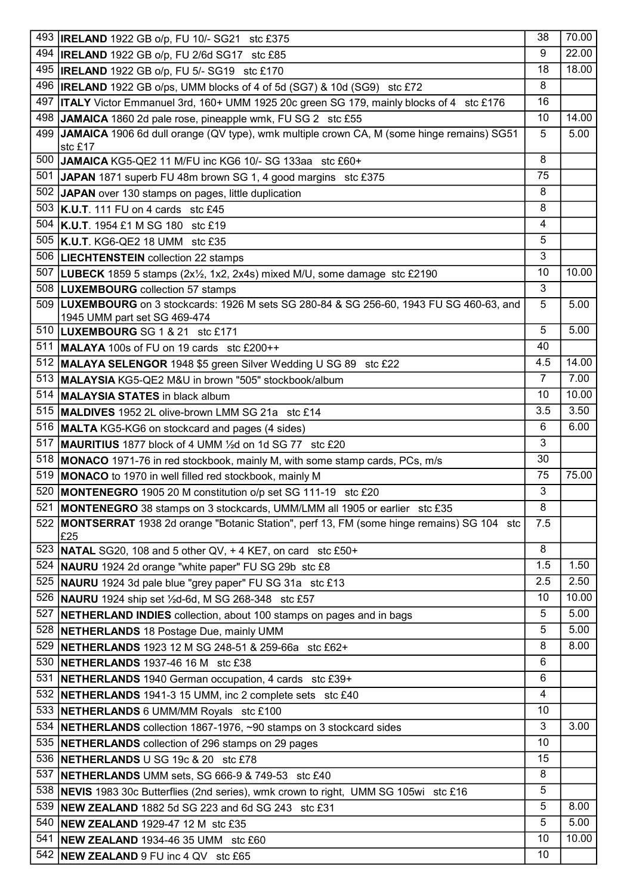|     | 493 <b>IRELAND</b> 1922 GB o/p, FU 10/- SG21 stc £375                                                                                                  | 38             | 70.00 |
|-----|--------------------------------------------------------------------------------------------------------------------------------------------------------|----------------|-------|
| 494 | <b>IRELAND</b> 1922 GB o/p, FU 2/6d SG17 stc £85                                                                                                       | 9              | 22.00 |
| 495 | <b>IRELAND</b> 1922 GB o/p, FU 5/- SG19 stc £170                                                                                                       | 18             | 18.00 |
| 496 | <b>IRELAND</b> 1922 GB o/ps, UMM blocks of 4 of 5d (SG7) & 10d (SG9) stc £72                                                                           | 8              |       |
| 497 | <b>ITALY</b> Victor Emmanuel 3rd, 160+ UMM 1925 20c green SG 179, mainly blocks of 4 stc £176                                                          | 16             |       |
| 498 |                                                                                                                                                        | 10             | 14.00 |
| 499 | JAMAICA 1860 2d pale rose, pineapple wmk, FU SG 2 stc £55<br>JAMAICA 1906 6d dull orange (QV type), wmk multiple crown CA, M (some hinge remains) SG51 | 5              |       |
|     | stc £17                                                                                                                                                |                | 5.00  |
| 500 | JAMAICA KG5-QE2 11 M/FU inc KG6 10/- SG 133aa stc £60+                                                                                                 | 8              |       |
|     | 501 JAPAN 1871 superb FU 48m brown SG 1, 4 good margins stc £375                                                                                       | 75             |       |
| 502 | JAPAN over 130 stamps on pages, little duplication                                                                                                     | 8              |       |
| 503 | $\overline{K.U.T}$ . 111 FU on 4 cards stc £45                                                                                                         | 8              |       |
| 504 | <b>K.U.T.</b> 1954 £1 M SG 180 stc £19                                                                                                                 | 4              |       |
|     | 505   K.U.T. KG6-QE2 18 UMM stc £35                                                                                                                    | 5              |       |
| 506 |                                                                                                                                                        | 3              |       |
|     | <b>LIECHTENSTEIN</b> collection 22 stamps                                                                                                              |                |       |
| 507 | <b>LUBECK</b> 1859 5 stamps (2x <sup>1/2</sup> , 1x2, 2x4s) mixed M/U, some damage stc £2190                                                           | 10             | 10.00 |
|     | 508  LUXEMBOURG collection 57 stamps                                                                                                                   | 3              |       |
| 509 | LUXEMBOURG on 3 stockcards: 1926 M sets SG 280-84 & SG 256-60, 1943 FU SG 460-63, and                                                                  | 5              | 5.00  |
|     | 1945 UMM part set SG 469-474<br>510   LUXEMBOURG SG 1 & 21 stc £171                                                                                    | 5              | 5.00  |
| 511 |                                                                                                                                                        | 40             |       |
|     | MALAYA 100s of FU on 19 cards stc £200++                                                                                                               | 4.5            | 14.00 |
|     | 512 MALAYA SELENGOR 1948 \$5 green Silver Wedding U SG 89 stc £22                                                                                      | $\overline{7}$ | 7.00  |
|     | 513 MALAYSIA KG5-QE2 M&U in brown "505" stockbook/album                                                                                                |                |       |
| 514 | <b>MALAYSIA STATES</b> in black album                                                                                                                  | 10             | 10.00 |
| 515 | MALDIVES 1952 2L olive-brown LMM SG 21a stc £14                                                                                                        | 3.5            | 3.50  |
|     | 516 MALTA KG5-KG6 on stockcard and pages (4 sides)                                                                                                     | 6              | 6.00  |
| 517 | MAURITIUS 1877 block of 4 UMM 1/2d on 1d SG 77 stc £20                                                                                                 | 3              |       |
|     | 518   MONACO 1971-76 in red stockbook, mainly M, with some stamp cards, PCs, m/s                                                                       | 30             |       |
| 519 | MONACO to 1970 in well filled red stockbook, mainly M                                                                                                  | 75             | 75.00 |
| 520 | MONTENEGRO 1905 20 M constitution o/p set SG 111-19 stc £20                                                                                            | 3              |       |
|     | 521 MONTENEGRO 38 stamps on 3 stockcards, UMM/LMM all 1905 or earlier stc £35                                                                          | 8              |       |
|     | 522   MONTSERRAT 1938 2d orange "Botanic Station", perf 13, FM (some hinge remains) SG 104 stc                                                         | 7.5            |       |
|     | £25                                                                                                                                                    |                |       |
| 523 | <b>NATAL</b> SG20, 108 and 5 other QV, $+$ 4 KE7, on card stc £50+                                                                                     | 8              |       |
|     | 524   NAURU 1924 2d orange "white paper" FU SG 29b stc £8                                                                                              | 1.5            | 1.50  |
| 525 | <b>NAURU</b> 1924 3d pale blue "grey paper" FU SG 31a stc £13                                                                                          | 2.5            | 2.50  |
| 526 | <b>NAURU</b> 1924 ship set 1/2d-6d, M SG 268-348 stc £57                                                                                               | 10             | 10.00 |
| 527 | NETHERLAND INDIES collection, about 100 stamps on pages and in bags                                                                                    | 5              | 5.00  |
|     | 528 NETHERLANDS 18 Postage Due, mainly UMM                                                                                                             | 5              | 5.00  |
| 529 | <b>NETHERLANDS</b> 1923 12 M SG 248-51 & 259-66a stc £62+                                                                                              | 8              | 8.00  |
| 530 | <b>NETHERLANDS</b> 1937-46 16 M stc £38                                                                                                                | 6              |       |
| 531 | <b>NETHERLANDS</b> 1940 German occupation, 4 cards stc £39+                                                                                            | 6              |       |
|     | 532 <b>NETHERLANDS</b> 1941-3 15 UMM, inc 2 complete sets stc £40                                                                                      | 4              |       |
| 533 | <b>NETHERLANDS 6 UMM/MM Royals stc £100</b>                                                                                                            | 10             |       |
| 534 | NETHERLANDS collection 1867-1976, ~90 stamps on 3 stockcard sides                                                                                      | 3              | 3.00  |
|     | 535 <b>NETHERLANDS</b> collection of 296 stamps on 29 pages                                                                                            | 10             |       |
|     | 536 <b>NETHERLANDS</b> U SG 19c & 20 stc £78                                                                                                           | 15             |       |
| 537 | <b>NETHERLANDS</b> UMM sets, SG 666-9 & 749-53 stc £40                                                                                                 | 8              |       |
| 538 | <b>NEVIS</b> 1983 30c Butterflies (2nd series), wmk crown to right, UMM SG 105wi stc £16                                                               | 5              |       |
| 539 | <b>NEW ZEALAND</b> 1882 5d SG 223 and 6d SG 243 stc £31                                                                                                | 5              | 8.00  |
| 540 | <b>NEW ZEALAND 1929-47 12 M stc £35</b>                                                                                                                | 5              | 5.00  |
| 541 | <b>NEW ZEALAND 1934-46 35 UMM stc £60</b>                                                                                                              | 10             | 10.00 |
| 542 | <b>NEW ZEALAND 9 FU inc 4 QV stc £65</b>                                                                                                               | 10             |       |
|     |                                                                                                                                                        |                |       |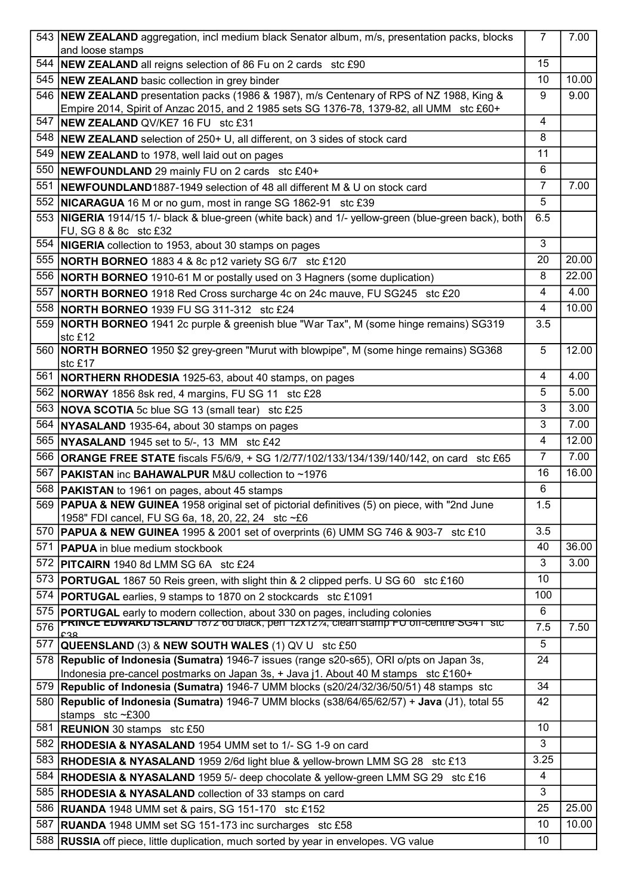|     | 543 <b>NEW ZEALAND</b> aggregation, incl medium black Senator album, m/s, presentation packs, blocks                                                                            | $\overline{7}$ | 7.00  |
|-----|---------------------------------------------------------------------------------------------------------------------------------------------------------------------------------|----------------|-------|
| 544 | and loose stamps<br><b>NEW ZEALAND</b> all reigns selection of 86 Fu on 2 cards stc £90                                                                                         | 15             |       |
| 545 | <b>NEW ZEALAND</b> basic collection in grey binder                                                                                                                              | 10             | 10.00 |
| 546 | NEW ZEALAND presentation packs (1986 & 1987), m/s Centenary of RPS of NZ 1988, King &                                                                                           | 9              | 9.00  |
|     | Empire 2014, Spirit of Anzac 2015, and 2 1985 sets SG 1376-78, 1379-82, all UMM stc £60+                                                                                        |                |       |
| 547 | NEW ZEALAND QV/KE7 16 FU stc £31                                                                                                                                                | 4              |       |
| 548 | <b>NEW ZEALAND</b> selection of 250+ U, all different, on 3 sides of stock card                                                                                                 | 8              |       |
| 549 | <b>NEW ZEALAND</b> to 1978, well laid out on pages                                                                                                                              | 11             |       |
| 550 | <b>NEWFOUNDLAND</b> 29 mainly FU on 2 cards stc £40+                                                                                                                            | 6              |       |
| 551 | NEWFOUNDLAND1887-1949 selection of 48 all different M & U on stock card                                                                                                         | 7              | 7.00  |
| 552 | <b>NICARAGUA</b> 16 M or no gum, most in range SG 1862-91 stc £39                                                                                                               | 5              |       |
|     | 553 NIGERIA 1914/15 1/- black & blue-green (white back) and 1/- yellow-green (blue-green back), both                                                                            | 6.5            |       |
|     | FU, SG 8 & 8c stc £32                                                                                                                                                           |                |       |
| 554 | <b>NIGERIA</b> collection to 1953, about 30 stamps on pages                                                                                                                     | 3              |       |
| 555 | <b>NORTH BORNEO</b> 1883 4 & 8c p12 variety SG 6/7 stc £120                                                                                                                     | 20             | 20.00 |
|     | 556 NORTH BORNEO 1910-61 M or postally used on 3 Hagners (some duplication)                                                                                                     | 8              | 22.00 |
| 557 | <b>NORTH BORNEO</b> 1918 Red Cross surcharge 4c on 24c mauve, FU SG245 stc £20                                                                                                  | 4              | 4.00  |
| 558 | <b>NORTH BORNEO 1939 FU SG 311-312 stc £24</b>                                                                                                                                  | 4              | 10.00 |
| 559 | NORTH BORNEO 1941 2c purple & greenish blue "War Tax", M (some hinge remains) SG319                                                                                             | 3.5            |       |
|     | stc £12                                                                                                                                                                         |                |       |
| 560 | NORTH BORNEO 1950 \$2 grey-green "Murut with blowpipe", M (some hinge remains) SG368                                                                                            | 5              | 12.00 |
| 561 | stc £17                                                                                                                                                                         | 4              | 4.00  |
|     | NORTHERN RHODESIA 1925-63, about 40 stamps, on pages                                                                                                                            | 5              | 5.00  |
|     | 562 NORWAY 1856 8sk red, 4 margins, FU SG 11 stc £28                                                                                                                            |                | 3.00  |
|     | 563 NOVA SCOTIA 5c blue SG 13 (small tear) stc £25                                                                                                                              | 3              |       |
| 564 | NYASALAND 1935-64, about 30 stamps on pages                                                                                                                                     | 3              | 7.00  |
|     | 565 <b>NYASALAND</b> 1945 set to 5/-, 13 MM stc £42                                                                                                                             | 4              | 12.00 |
|     | 566 <b>ORANGE FREE STATE</b> fiscals F5/6/9, + SG 1/2/77/102/133/134/139/140/142, on card stc £65                                                                               | $\overline{7}$ | 7.00  |
| 567 | <b>PAKISTAN</b> inc <b>BAHAWALPUR</b> M&U collection to ~1976                                                                                                                   | 16             | 16.00 |
|     | 568 <b>PAKISTAN</b> to 1961 on pages, about 45 stamps                                                                                                                           | 6              |       |
|     | 569 <b>PAPUA &amp; NEW GUINEA</b> 1958 original set of pictorial definitives (5) on piece, with "2nd June                                                                       | 1.5            |       |
| 570 | 1958" FDI cancel, FU SG 6a, 18, 20, 22, 24 stc ~£6<br><b>PAPUA &amp; NEW GUINEA</b> 1995 & 2001 set of overprints (6) UMM SG 746 & 903-7 stc £10                                | 3.5            |       |
| 571 |                                                                                                                                                                                 | 40             | 36.00 |
| 572 | <b>PAPUA</b> in blue medium stockbook<br><b>PITCAIRN</b> 1940 8d LMM SG 6A stc £24                                                                                              | 3              | 3.00  |
|     |                                                                                                                                                                                 | 10             |       |
| 573 | <b>PORTUGAL</b> 1867 50 Reis green, with slight thin & 2 clipped perfs. U SG 60 stc £160                                                                                        |                |       |
| 574 | <b>PORTUGAL</b> earlies, 9 stamps to 1870 on 2 stockcards stc £1091                                                                                                             | 100            |       |
| 575 | <b>PORTUGAL</b> early to modern collection, about 330 on pages, including colonies<br><b>PRINCE EDWARD ISLAND</b> 1872 60 DIACK, per 12X1274, clean stamp FU on-centre SG41 Stc | 6              |       |
| 576 |                                                                                                                                                                                 | 7.5            | 7.50  |
| 577 | <b>QUEENSLAND (3) &amp; NEW SOUTH WALES (1) QV U stc £50</b>                                                                                                                    | 5              |       |
|     | 578 <b>Republic of Indonesia (Sumatra)</b> 1946-7 issues (range s20-s65), ORI o/pts on Japan 3s,                                                                                | 24             |       |
| 579 | Indonesia pre-cancel postmarks on Japan 3s, + Java j1. About 40 M stamps stc £160+<br>Republic of Indonesia (Sumatra) 1946-7 UMM blocks (s20/24/32/36/50/51) 48 stamps stc      | 34             |       |
| 580 | Republic of Indonesia (Sumatra) 1946-7 UMM blocks (s38/64/65/62/57) + Java (J1), total 55                                                                                       | 42             |       |
|     | stamps stc~£300                                                                                                                                                                 |                |       |
| 581 | <b>REUNION</b> 30 stamps stc £50                                                                                                                                                | 10             |       |
| 582 | <b>RHODESIA &amp; NYASALAND</b> 1954 UMM set to 1/- SG 1-9 on card                                                                                                              | 3              |       |
| 583 | <b>RHODESIA &amp; NYASALAND</b> 1959 2/6d light blue & yellow-brown LMM SG 28 stc £13                                                                                           | 3.25           |       |
| 584 | <b>RHODESIA &amp; NYASALAND</b> 1959 5/- deep chocolate & yellow-green LMM SG 29 stc £16                                                                                        | 4              |       |
| 585 | <b>RHODESIA &amp; NYASALAND</b> collection of 33 stamps on card                                                                                                                 | 3              |       |
| 586 | <b>RUANDA</b> 1948 UMM set & pairs, SG 151-170 stc £152                                                                                                                         | 25             | 25.00 |
| 587 | <b>RUANDA</b> 1948 UMM set SG 151-173 inc surcharges stc £58                                                                                                                    | 10             | 10.00 |
| 588 | <b>RUSSIA</b> off piece, little duplication, much sorted by year in envelopes. VG value                                                                                         | 10             |       |
|     |                                                                                                                                                                                 |                |       |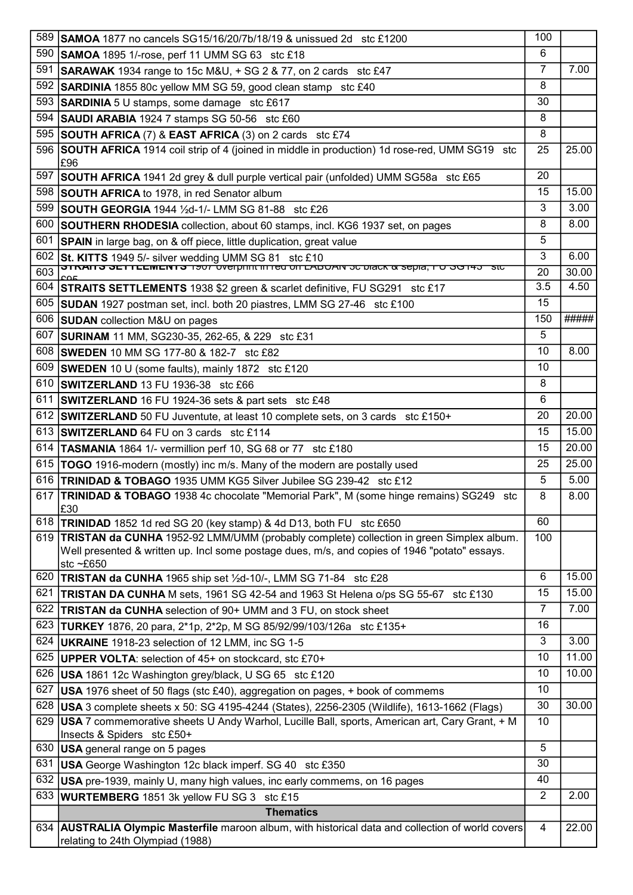| 589 | <b>SAMOA</b> 1877 no cancels SG15/16/20/7b/18/19 & unissued 2d stc £1200                                     | 100            |       |
|-----|--------------------------------------------------------------------------------------------------------------|----------------|-------|
| 590 | <b>SAMOA</b> 1895 1/-rose, perf 11 UMM SG 63 stc £18                                                         | 6              |       |
| 591 | $\overline{\text{SARAWAK}}$ 1934 range to 15c M&U, + SG 2 & 77, on 2 cards stc £47                           | 7              | 7.00  |
| 592 | <b>SARDINIA</b> 1855 80c yellow MM SG 59, good clean stamp stc £40                                           | 8              |       |
|     | 593 SARDINIA 5 U stamps, some damage stc £617                                                                | 30             |       |
| 594 | SAUDI ARABIA 1924 7 stamps SG 50-56 stc £60                                                                  | 8              |       |
| 595 | <b>SOUTH AFRICA (7) &amp; EAST AFRICA (3) on 2 cards stc £74</b>                                             | 8              |       |
|     | 596 SOUTH AFRICA 1914 coil strip of 4 (joined in middle in production) 1d rose-red, UMM SG19 stc             | 25             | 25.00 |
|     | £96                                                                                                          |                |       |
| 597 | <b>SOUTH AFRICA</b> 1941 2d grey & dull purple vertical pair (unfolded) UMM SG58a stc £65                    | 20             |       |
|     | 598 SOUTH AFRICA to 1978, in red Senator album                                                               | 15             | 15.00 |
|     | 599 SOUTH GEORGIA 1944 1/2d-1/- LMM SG 81-88 stc £26                                                         | 3              | 3.00  |
| 600 | <b>SOUTHERN RHODESIA</b> collection, about 60 stamps, incl. KG6 1937 set, on pages                           | 8              | 8.00  |
|     | 601 SPAIN in large bag, on & off piece, little duplication, great value                                      | 5              |       |
|     | 602 St. KITTS 1949 5/- silver wedding UMM SG 81 stc £10                                                      | 3              | 6.00  |
| 603 |                                                                                                              | 20             | 30.00 |
|     | 604 STRAITS SETTLEMENTS 1938 \$2 green & scarlet definitive, FU SG291 stc £17                                | 3.5            | 4.50  |
|     | 605 SUDAN 1927 postman set, incl. both 20 piastres, LMM SG 27-46 stc £100                                    | 15             |       |
|     | 606 SUDAN collection M&U on pages                                                                            | 150            | ##### |
| 607 | SURINAM 11 MM, SG230-35, 262-65, & 229 stc £31                                                               | 5              |       |
|     | 608 SWEDEN 10 MM SG 177-80 & 182-7 stc £82                                                                   | 10             | 8.00  |
|     | 609 SWEDEN 10 U (some faults), mainly 1872 stc £120                                                          | 10             |       |
| 610 | <b>SWITZERLAND</b> 13 FU 1936-38 stc £66                                                                     | 8              |       |
| 611 | <b>SWITZERLAND</b> 16 FU 1924-36 sets & part sets stc £48                                                    | 6              |       |
|     | 612 SWITZERLAND 50 FU Juventute, at least 10 complete sets, on 3 cards stc £150+                             | 20             | 20.00 |
|     | 613 SWITZERLAND 64 FU on 3 cards stc £114                                                                    | 15             | 15.00 |
|     | 614 <b>TASMANIA</b> 1864 1/- vermillion perf 10, SG 68 or 77 stc £180                                        | 15             | 20.00 |
|     | 615   TOGO 1916-modern (mostly) inc m/s. Many of the modern are postally used                                | 25             | 25.00 |
| 616 | <b>TRINIDAD &amp; TOBAGO 1935 UMM KG5 Silver Jubilee SG 239-42 stc £12</b>                                   | 5              | 5.00  |
|     | 617 <b>TRINIDAD &amp; TOBAGO</b> 1938 4c chocolate "Memorial Park", M (some hinge remains) SG249 stc         | 8              | 8.00  |
|     | £30                                                                                                          |                |       |
| 618 | <b>TRINIDAD</b> 1852 1d red SG 20 (key stamp) & 4d D13, both FU stc £650                                     | 60             |       |
| 619 | TRISTAN da CUNHA 1952-92 LMM/UMM (probably complete) collection in green Simplex album.                      | 100            |       |
|     | Well presented & written up. Incl some postage dues, m/s, and copies of 1946 "potato" essays.<br>stc $~E650$ |                |       |
| 620 | TRISTAN da CUNHA 1965 ship set 1/2d-10/-, LMM SG 71-84 stc £28                                               | 6              | 15.00 |
| 621 | <b>TRISTAN DA CUNHA</b> M sets, 1961 SG 42-54 and 1963 St Helena o/ps SG 55-67 stc £130                      | 15             | 15.00 |
| 622 | <b>TRISTAN da CUNHA</b> selection of 90+ UMM and 3 FU, on stock sheet                                        | $\overline{7}$ | 7.00  |
| 623 | <b>TURKEY</b> 1876, 20 para, 2*1p, 2*2p, M SG 85/92/99/103/126a stc £135+                                    | 16             |       |
| 624 | UKRAINE 1918-23 selection of 12 LMM, inc SG 1-5                                                              | 3              | 3.00  |
|     | 625 UPPER VOLTA: selection of 45+ on stockcard, stc £70+                                                     | 10             | 11.00 |
| 626 | USA 1861 12c Washington grey/black, U SG 65 stc £120                                                         | 10             | 10.00 |
| 627 | USA 1976 sheet of 50 flags (stc £40), aggregation on pages, + book of commems                                | 10             |       |
| 628 | USA 3 complete sheets x 50: SG 4195-4244 (States), 2256-2305 (Wildlife), 1613-1662 (Flags)                   | 30             | 30.00 |
| 629 | USA 7 commemorative sheets U Andy Warhol, Lucille Ball, sports, American art, Cary Grant, + M                | 10             |       |
|     | Insects & Spiders stc £50+                                                                                   |                |       |
| 630 | <b>USA</b> general range on 5 pages                                                                          | 5              |       |
| 631 | <b>USA</b> George Washington 12c black imperf. SG 40 stc £350                                                | 30             |       |
| 632 | USA pre-1939, mainly U, many high values, inc early commems, on 16 pages                                     | 40             |       |
| 633 | <b>WURTEMBERG</b> 1851 3k yellow FU SG 3 stc £15                                                             | $\overline{2}$ | 2.00  |
|     | <b>Thematics</b>                                                                                             |                |       |
|     | 634 AUSTRALIA Olympic Masterfile maroon album, with historical data and collection of world covers           | 4              | 22.00 |
|     | relating to 24th Olympiad (1988)                                                                             |                |       |